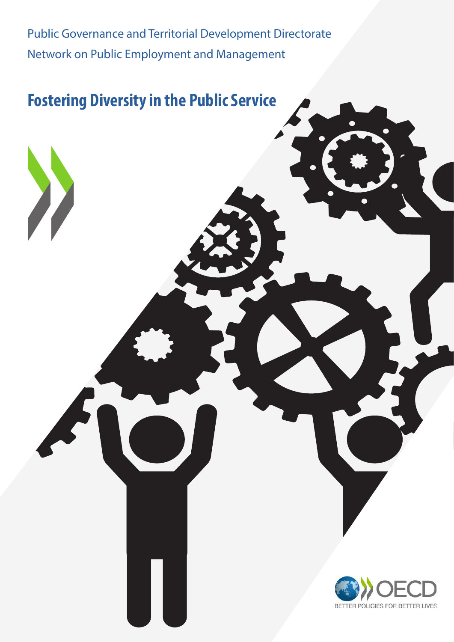Public Governance and Territorial Development Directorate Network on Public Employment and Management

# **Fostering Diversity in the Public Service**

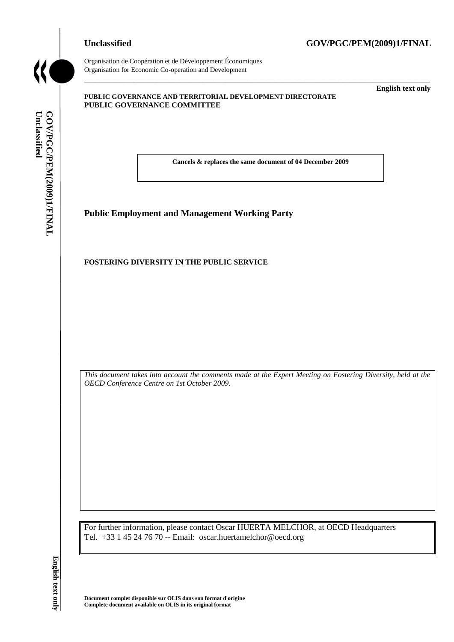### **Unclassified GOV/PGC/PEM(2009)1/FINAL**



Organisation de Coopération et de Développement Économiques Organisation for Economic Co-operation and Development

#### **PUBLIC GOVERNANCE AND TERRITORIAL DEVELOPMENT DIRECTORATE PUBLIC GOVERNANCE COMMITTEE**

\_\_\_\_\_\_\_\_\_\_\_\_\_ **English text only**

**Cancels & replaces the same document of 04 December 2009**

\_\_\_\_\_\_\_\_\_\_\_\_\_\_\_\_\_\_\_\_\_\_\_\_\_\_\_\_\_\_\_\_\_\_\_\_\_\_\_\_\_\_\_\_\_\_\_\_\_\_\_\_\_\_\_\_\_\_\_\_\_\_\_\_\_\_\_\_\_\_\_\_\_\_\_\_\_\_\_\_\_\_\_\_\_\_\_\_\_\_\_

**Public Employment and Management Working Party**

#### **FOSTERING DIVERSITY IN THE PUBLIC SERVICE**

*This document takes into account the comments made at the Expert Meeting on Fostering Diversity, held at the OECD Conference Centre on 1st October 2009.*

For further information, please contact Oscar HUERTA MELCHOR, at OECD Headquarters Tel. +33 1 45 24 76 70 -- Email: oscar.huertamelchor@oecd.org

**Document complet disponible sur OLIS dans son format d'origine**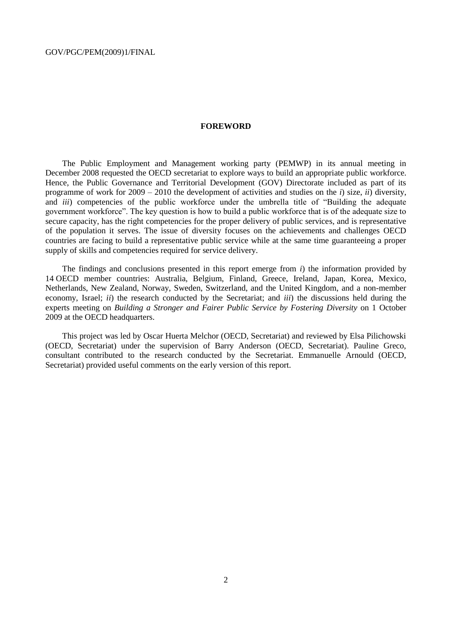#### **FOREWORD**

The Public Employment and Management working party (PEMWP) in its annual meeting in December 2008 requested the OECD secretariat to explore ways to build an appropriate public workforce. Hence, the Public Governance and Territorial Development (GOV) Directorate included as part of its programme of work for 2009 – 2010 the development of activities and studies on the *i*) size, *ii*) diversity, and *iii*) competencies of the public workforce under the umbrella title of "Building the adequate government workforce". The key question is how to build a public workforce that is of the adequate size to secure capacity, has the right competencies for the proper delivery of public services, and is representative of the population it serves. The issue of diversity focuses on the achievements and challenges OECD countries are facing to build a representative public service while at the same time guaranteeing a proper supply of skills and competencies required for service delivery.

The findings and conclusions presented in this report emerge from *i*) the information provided by 14 OECD member countries: Australia, Belgium, Finland, Greece, Ireland, Japan, Korea, Mexico, Netherlands, New Zealand, Norway, Sweden, Switzerland, and the United Kingdom, and a non-member economy, Israel; *ii*) the research conducted by the Secretariat; and *iii*) the discussions held during the experts meeting on *Building a Stronger and Fairer Public Service by Fostering Diversity* on 1 October 2009 at the OECD headquarters.

This project was led by Oscar Huerta Melchor (OECD, Secretariat) and reviewed by Elsa Pilichowski (OECD, Secretariat) under the supervision of Barry Anderson (OECD, Secretariat). Pauline Greco, consultant contributed to the research conducted by the Secretariat. Emmanuelle Arnould (OECD, Secretariat) provided useful comments on the early version of this report.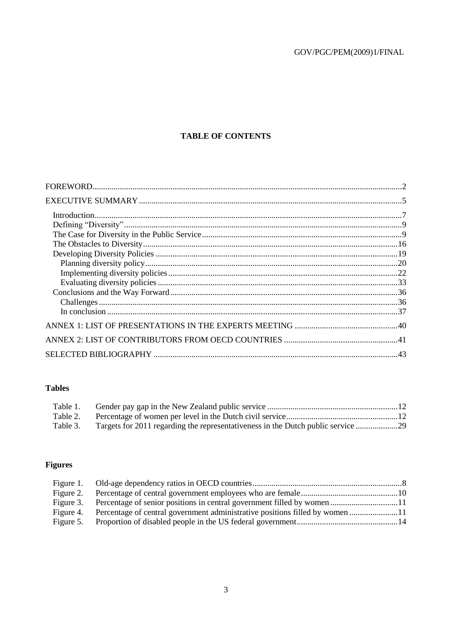## **TABLE OF CONTENTS**

### **Tables**

| Table 1. |                                                                                  |  |
|----------|----------------------------------------------------------------------------------|--|
| Table 2. |                                                                                  |  |
| Table 3. | Targets for 2011 regarding the representativeness in the Dutch public service 29 |  |

## **Figures**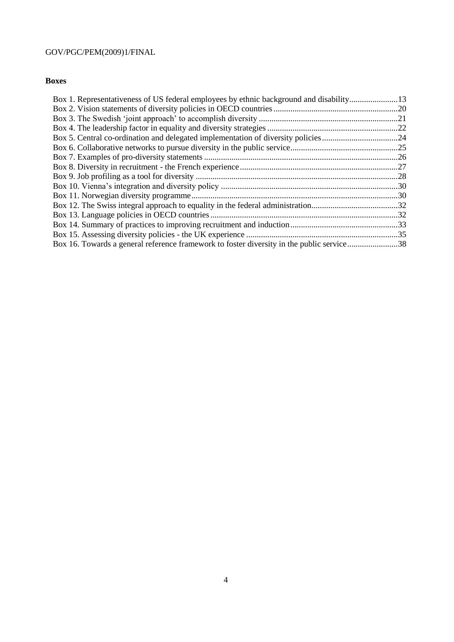### **Boxes**

| Box 1. Representativeness of US federal employees by ethnic background and disability13   |  |
|-------------------------------------------------------------------------------------------|--|
|                                                                                           |  |
|                                                                                           |  |
|                                                                                           |  |
| Box 5. Central co-ordination and delegated implementation of diversity policies24         |  |
|                                                                                           |  |
|                                                                                           |  |
|                                                                                           |  |
|                                                                                           |  |
|                                                                                           |  |
|                                                                                           |  |
|                                                                                           |  |
|                                                                                           |  |
|                                                                                           |  |
|                                                                                           |  |
| Box 16. Towards a general reference framework to foster diversity in the public service38 |  |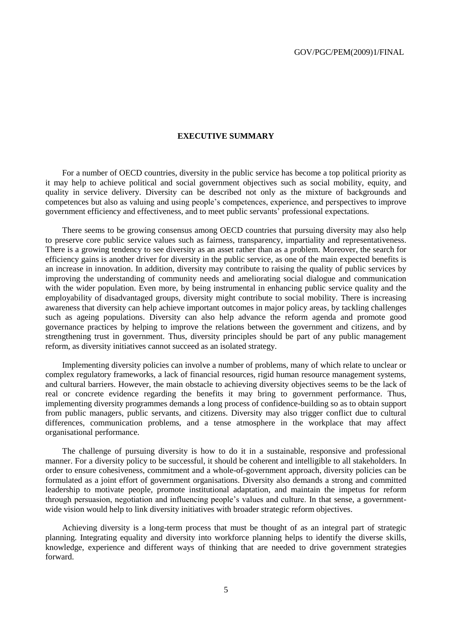#### **EXECUTIVE SUMMARY**

For a number of OECD countries, diversity in the public service has become a top political priority as it may help to achieve political and social government objectives such as social mobility, equity, and quality in service delivery. Diversity can be described not only as the mixture of backgrounds and competences but also as valuing and using people"s competences, experience, and perspectives to improve government efficiency and effectiveness, and to meet public servants" professional expectations.

There seems to be growing consensus among OECD countries that pursuing diversity may also help to preserve core public service values such as fairness, transparency, impartiality and representativeness. There is a growing tendency to see diversity as an asset rather than as a problem. Moreover, the search for efficiency gains is another driver for diversity in the public service, as one of the main expected benefits is an increase in innovation. In addition, diversity may contribute to raising the quality of public services by improving the understanding of community needs and ameliorating social dialogue and communication with the wider population. Even more, by being instrumental in enhancing public service quality and the employability of disadvantaged groups, diversity might contribute to social mobility. There is increasing awareness that diversity can help achieve important outcomes in major policy areas, by tackling challenges such as ageing populations. Diversity can also help advance the reform agenda and promote good governance practices by helping to improve the relations between the government and citizens, and by strengthening trust in government. Thus, diversity principles should be part of any public management reform, as diversity initiatives cannot succeed as an isolated strategy.

Implementing diversity policies can involve a number of problems, many of which relate to unclear or complex regulatory frameworks, a lack of financial resources, rigid human resource management systems, and cultural barriers. However, the main obstacle to achieving diversity objectives seems to be the lack of real or concrete evidence regarding the benefits it may bring to government performance. Thus, implementing diversity programmes demands a long process of confidence-building so as to obtain support from public managers, public servants, and citizens. Diversity may also trigger conflict due to cultural differences, communication problems, and a tense atmosphere in the workplace that may affect organisational performance.

The challenge of pursuing diversity is how to do it in a sustainable, responsive and professional manner. For a diversity policy to be successful, it should be coherent and intelligible to all stakeholders. In order to ensure cohesiveness, commitment and a whole-of-government approach, diversity policies can be formulated as a joint effort of government organisations. Diversity also demands a strong and committed leadership to motivate people, promote institutional adaptation, and maintain the impetus for reform through persuasion, negotiation and influencing people"s values and culture. In that sense, a governmentwide vision would help to link diversity initiatives with broader strategic reform objectives.

Achieving diversity is a long-term process that must be thought of as an integral part of strategic planning. Integrating equality and diversity into workforce planning helps to identify the diverse skills, knowledge, experience and different ways of thinking that are needed to drive government strategies forward.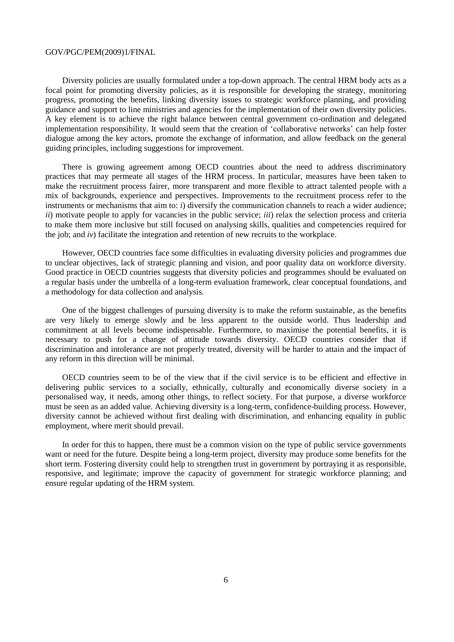Diversity policies are usually formulated under a top-down approach. The central HRM body acts as a focal point for promoting diversity policies, as it is responsible for developing the strategy, monitoring progress, promoting the benefits, linking diversity issues to strategic workforce planning, and providing guidance and support to line ministries and agencies for the implementation of their own diversity policies. A key element is to achieve the right balance between central government co-ordination and delegated implementation responsibility. It would seem that the creation of "collaborative networks" can help foster dialogue among the key actors, promote the exchange of information, and allow feedback on the general guiding principles, including suggestions for improvement.

There is growing agreement among OECD countries about the need to address discriminatory practices that may permeate all stages of the HRM process. In particular, measures have been taken to make the recruitment process fairer, more transparent and more flexible to attract talented people with a mix of backgrounds, experience and perspectives. Improvements to the recruitment process refer to the instruments or mechanisms that aim to: *i*) diversify the communication channels to reach a wider audience; *ii*) motivate people to apply for vacancies in the public service; *iii*) relax the selection process and criteria to make them more inclusive but still focused on analysing skills, qualities and competencies required for the job; and *iv*) facilitate the integration and retention of new recruits to the workplace.

However, OECD countries face some difficulties in evaluating diversity policies and programmes due to unclear objectives, lack of strategic planning and vision, and poor quality data on workforce diversity. Good practice in OECD countries suggests that diversity policies and programmes should be evaluated on a regular basis under the umbrella of a long-term evaluation framework, clear conceptual foundations, and a methodology for data collection and analysis.

One of the biggest challenges of pursuing diversity is to make the reform sustainable, as the benefits are very likely to emerge slowly and be less apparent to the outside world. Thus leadership and commitment at all levels become indispensable. Furthermore, to maximise the potential benefits, it is necessary to push for a change of attitude towards diversity. OECD countries consider that if discrimination and intolerance are not properly treated, diversity will be harder to attain and the impact of any reform in this direction will be minimal.

OECD countries seem to be of the view that if the civil service is to be efficient and effective in delivering public services to a socially, ethnically, culturally and economically diverse society in a personalised way, it needs, among other things, to reflect society. For that purpose, a diverse workforce must be seen as an added value. Achieving diversity is a long-term, confidence-building process. However, diversity cannot be achieved without first dealing with discrimination, and enhancing equality in public employment, where merit should prevail.

In order for this to happen, there must be a common vision on the type of public service governments want or need for the future. Despite being a long-term project, diversity may produce some benefits for the short term. Fostering diversity could help to strengthen trust in government by portraying it as responsible, responsive, and legitimate; improve the capacity of government for strategic workforce planning; and ensure regular updating of the HRM system.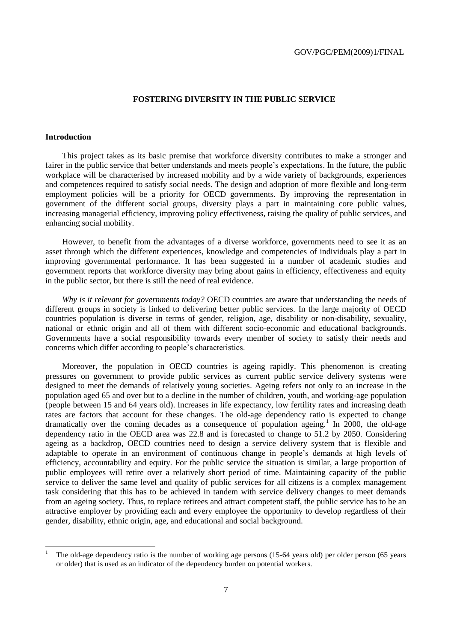#### **FOSTERING DIVERSITY IN THE PUBLIC SERVICE**

#### **Introduction**

This project takes as its basic premise that workforce diversity contributes to make a stronger and fairer in the public service that better understands and meets people"s expectations. In the future, the public workplace will be characterised by increased mobility and by a wide variety of backgrounds, experiences and competences required to satisfy social needs. The design and adoption of more flexible and long-term employment policies will be a priority for OECD governments. By improving the representation in government of the different social groups, diversity plays a part in maintaining core public values, increasing managerial efficiency, improving policy effectiveness, raising the quality of public services, and enhancing social mobility.

However, to benefit from the advantages of a diverse workforce, governments need to see it as an asset through which the different experiences, knowledge and competencies of individuals play a part in improving governmental performance. It has been suggested in a number of academic studies and government reports that workforce diversity may bring about gains in efficiency, effectiveness and equity in the public sector, but there is still the need of real evidence.

*Why is it relevant for governments today?* OECD countries are aware that understanding the needs of different groups in society is linked to delivering better public services. In the large majority of OECD countries population is diverse in terms of gender, religion, age, disability or non-disability, sexuality, national or ethnic origin and all of them with different socio-economic and educational backgrounds. Governments have a social responsibility towards every member of society to satisfy their needs and concerns which differ according to people"s characteristics.

Moreover, the population in OECD countries is ageing rapidly. This phenomenon is creating pressures on government to provide public services as current public service delivery systems were designed to meet the demands of relatively young societies. Ageing refers not only to an increase in the population aged 65 and over but to a decline in the number of children, youth, and working-age population (people between 15 and 64 years old). Increases in life expectancy, low fertility rates and increasing death rates are factors that account for these changes. The old-age dependency ratio is expected to change dramatically over the coming decades as a consequence of population ageing.<sup>1</sup> In 2000, the old-age dependency ratio in the OECD area was 22.8 and is forecasted to change to 51.2 by 2050. Considering ageing as a backdrop, OECD countries need to design a service delivery system that is flexible and adaptable to operate in an environment of continuous change in people"s demands at high levels of efficiency, accountability and equity. For the public service the situation is similar, a large proportion of public employees will retire over a relatively short period of time. Maintaining capacity of the public service to deliver the same level and quality of public services for all citizens is a complex management task considering that this has to be achieved in tandem with service delivery changes to meet demands from an ageing society. Thus, to replace retirees and attract competent staff, the public service has to be an attractive employer by providing each and every employee the opportunity to develop regardless of their gender, disability, ethnic origin, age, and educational and social background.

The old-age dependency ratio is the number of working age persons (15-64 years old) per older person (65 years or older) that is used as an indicator of the dependency burden on potential workers.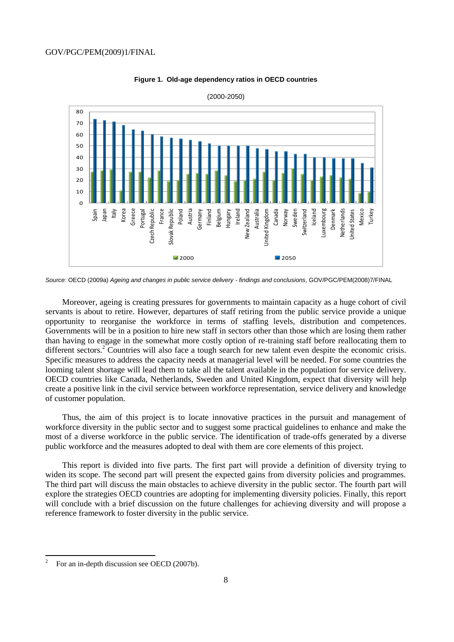



<sup>(2000-2050)</sup>

Moreover, ageing is creating pressures for governments to maintain capacity as a huge cohort of civil servants is about to retire. However, departures of staff retiring from the public service provide a unique opportunity to reorganise the workforce in terms of staffing levels, distribution and competences. Governments will be in a position to hire new staff in sectors other than those which are losing them rather than having to engage in the somewhat more costly option of re-training staff before reallocating them to different sectors.<sup>2</sup> Countries will also face a tough search for new talent even despite the economic crisis. Specific measures to address the capacity needs at managerial level will be needed. For some countries the looming talent shortage will lead them to take all the talent available in the population for service delivery. OECD countries like Canada, Netherlands, Sweden and United Kingdom, expect that diversity will help create a positive link in the civil service between workforce representation, service delivery and knowledge of customer population.

Thus, the aim of this project is to locate innovative practices in the pursuit and management of workforce diversity in the public sector and to suggest some practical guidelines to enhance and make the most of a diverse workforce in the public service. The identification of trade-offs generated by a diverse public workforce and the measures adopted to deal with them are core elements of this project.

This report is divided into five parts. The first part will provide a definition of diversity trying to widen its scope. The second part will present the expected gains from diversity policies and programmes. The third part will discuss the main obstacles to achieve diversity in the public sector. The fourth part will explore the strategies OECD countries are adopting for implementing diversity policies. Finally, this report will conclude with a brief discussion on the future challenges for achieving diversity and will propose a reference framework to foster diversity in the public service.

 $\overline{a}$ 

*Source*: OECD (2009a) *Ageing and changes in public service delivery - findings and conclusions*, GOV/PGC/PEM(2008)7/FINAL

<sup>2</sup> For an in-depth discussion see OECD (2007b).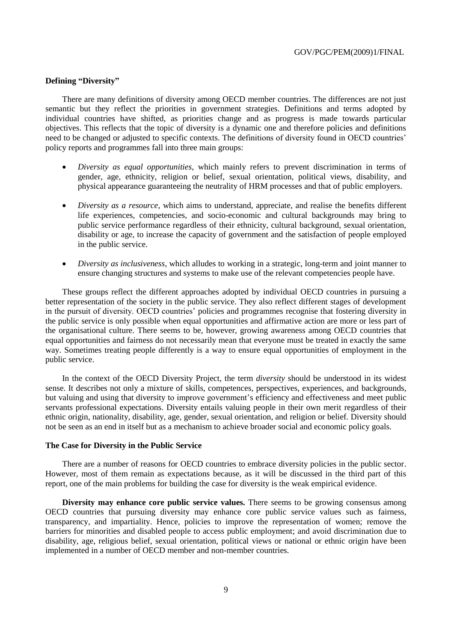#### **Defining "Diversity"**

There are many definitions of diversity among OECD member countries. The differences are not just semantic but they reflect the priorities in government strategies. Definitions and terms adopted by individual countries have shifted, as priorities change and as progress is made towards particular objectives. This reflects that the topic of diversity is a dynamic one and therefore policies and definitions need to be changed or adjusted to specific contexts. The definitions of diversity found in OECD countries' policy reports and programmes fall into three main groups:

- *Diversity as equal opportunities*, which mainly refers to prevent discrimination in terms of gender, age, ethnicity, religion or belief, sexual orientation, political views, disability, and physical appearance guaranteeing the neutrality of HRM processes and that of public employers.
- *Diversity as a resource*, which aims to understand, appreciate, and realise the benefits different life experiences, competencies, and socio-economic and cultural backgrounds may bring to public service performance regardless of their ethnicity, cultural background, sexual orientation, disability or age, to increase the capacity of government and the satisfaction of people employed in the public service.
- *Diversity as inclusiveness*, which alludes to working in a strategic, long-term and joint manner to ensure changing structures and systems to make use of the relevant competencies people have.

These groups reflect the different approaches adopted by individual OECD countries in pursuing a better representation of the society in the public service. They also reflect different stages of development in the pursuit of diversity. OECD countries' policies and programmes recognise that fostering diversity in the public service is only possible when equal opportunities and affirmative action are more or less part of the organisational culture. There seems to be, however, growing awareness among OECD countries that equal opportunities and fairness do not necessarily mean that everyone must be treated in exactly the same way. Sometimes treating people differently is a way to ensure equal opportunities of employment in the public service.

In the context of the OECD Diversity Project, the term *diversity* should be understood in its widest sense. It describes not only a mixture of skills, competences, perspectives, experiences, and backgrounds, but valuing and using that diversity to improve government's efficiency and effectiveness and meet public servants professional expectations. Diversity entails valuing people in their own merit regardless of their ethnic origin, nationality, disability, age, gender, sexual orientation, and religion or belief. Diversity should not be seen as an end in itself but as a mechanism to achieve broader social and economic policy goals.

### **The Case for Diversity in the Public Service**

There are a number of reasons for OECD countries to embrace diversity policies in the public sector. However, most of them remain as expectations because, as it will be discussed in the third part of this report, one of the main problems for building the case for diversity is the weak empirical evidence.

**Diversity may enhance core public service values.** There seems to be growing consensus among OECD countries that pursuing diversity may enhance core public service values such as fairness, transparency, and impartiality. Hence, policies to improve the representation of women; remove the barriers for minorities and disabled people to access public employment; and avoid discrimination due to disability, age, religious belief, sexual orientation, political views or national or ethnic origin have been implemented in a number of OECD member and non-member countries.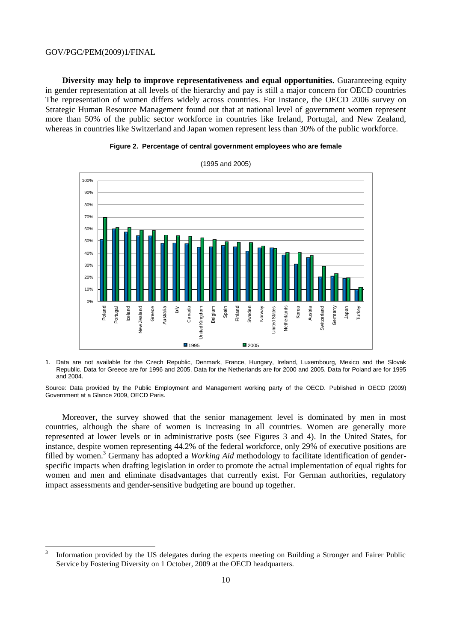**Diversity may help to improve representativeness and equal opportunities.** Guaranteeing equity in gender representation at all levels of the hierarchy and pay is still a major concern for OECD countries The representation of women differs widely across countries. For instance, the OECD 2006 survey on Strategic Human Resource Management found out that at national level of government women represent more than 50% of the public sector workforce in countries like Ireland, Portugal, and New Zealand, whereas in countries like Switzerland and Japan women represent less than 30% of the public workforce.





1. Data are not available for the Czech Republic, Denmark, France, Hungary, Ireland, Luxembourg, Mexico and the Slovak Republic. Data for Greece are for 1996 and 2005. Data for the Netherlands are for 2000 and 2005. Data for Poland are for 1995 and 2004.

Source: Data provided by the Public Employment and Management working party of the OECD. Published in OECD (2009) Government at a Glance 2009, OECD Paris.

Moreover, the survey showed that the senior management level is dominated by men in most countries, although the share of women is increasing in all countries. Women are generally more represented at lower levels or in administrative posts (see Figures 3 and 4). In the United States, for instance, despite women representing 44.2% of the federal workforce, only 29% of executive positions are filled by women.<sup>3</sup> Germany has adopted a *Working Aid* methodology to facilitate identification of genderspecific impacts when drafting legislation in order to promote the actual implementation of equal rights for women and men and eliminate disadvantages that currently exist. For German authorities, regulatory impact assessments and gender-sensitive budgeting are bound up together.

 3 Information provided by the US delegates during the experts meeting on Building a Stronger and Fairer Public Service by Fostering Diversity on 1 October, 2009 at the OECD headquarters.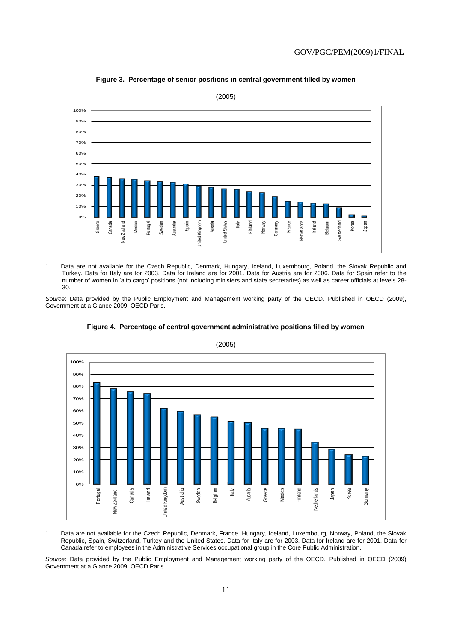

**Figure 3. Percentage of senior positions in central government filled by women**

1. Data are not available for the Czech Republic, Denmark, Hungary, Iceland, Luxembourg, Poland, the Slovak Republic and Turkey. Data for Italy are for 2003. Data for Ireland are for 2001. Data for Austria are for 2006. Data for Spain refer to the number of women in 'alto cargo' positions (not including ministers and state secretaries) as well as career officials at levels 28- 30.

*Source*: Data provided by the Public Employment and Management working party of the OECD. Published in OECD (2009), Government at a Glance 2009, OECD Paris.



**Figure 4. Percentage of central government administrative positions filled by women**

1. Data are not available for the Czech Republic, Denmark, France, Hungary, Iceland, Luxembourg, Norway, Poland, the Slovak Republic, Spain, Switzerland, Turkey and the United States. Data for Italy are for 2003. Data for Ireland are for 2001. Data for Canada refer to employees in the Administrative Services occupational group in the Core Public Administration.

*Source*: Data provided by the Public Employment and Management working party of the OECD. Published in OECD (2009) Government at a Glance 2009, OECD Paris.

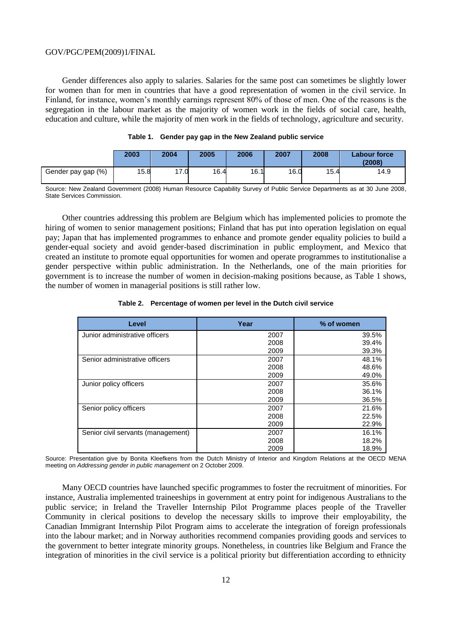Gender differences also apply to salaries. Salaries for the same post can sometimes be slightly lower for women than for men in countries that have a good representation of women in the civil service. In Finland, for instance, women"s monthly earnings represent 80% of those of men. One of the reasons is the segregation in the labour market as the majority of women work in the fields of social care, health, education and culture, while the majority of men work in the fields of technology, agriculture and security.

|                    | 2003 | 2004 | 2005 | 2006 | 2007 | 2008 | Labour force<br>(2008) |
|--------------------|------|------|------|------|------|------|------------------------|
| Gender pay gap (%) | 15.8 | 17.0 | 16.4 | 16.1 | 16.0 | 15.4 | 14.9                   |

|  |  |  |  | Table 1. Gender pay gap in the New Zealand public service |
|--|--|--|--|-----------------------------------------------------------|
|--|--|--|--|-----------------------------------------------------------|

Source: New Zealand Government (2008) Human Resource Capability Survey of Public Service Departments as at 30 June 2008, State Services Commission.

Other countries addressing this problem are Belgium which has implemented policies to promote the hiring of women to senior management positions; Finland that has put into operation legislation on equal pay; Japan that has implemented programmes to enhance and promote gender equality policies to build a gender-equal society and avoid gender-based discrimination in public employment, and Mexico that created an institute to promote equal opportunities for women and operate programmes to institutionalise a gender perspective within public administration. In the Netherlands, one of the main priorities for government is to increase the number of women in decision-making positions because, as Table 1 shows, the number of women in managerial positions is still rather low.

#### **Table 2. Percentage of women per level in the Dutch civil service**

| Level                              | Year | % of women |
|------------------------------------|------|------------|
| Junior administrative officers     | 2007 | 39.5%      |
|                                    | 2008 | 39.4%      |
|                                    | 2009 | 39.3%      |
| Senior administrative officers     | 2007 | 48.1%      |
|                                    | 2008 | 48.6%      |
|                                    | 2009 | 49.0%      |
| Junior policy officers             | 2007 | 35.6%      |
|                                    | 2008 | 36.1%      |
|                                    | 2009 | 36.5%      |
| Senior policy officers             | 2007 | 21.6%      |
|                                    | 2008 | 22.5%      |
|                                    | 2009 | 22.9%      |
| Senior civil servants (management) | 2007 | 16.1%      |
|                                    | 2008 | 18.2%      |
|                                    | 2009 | 18.9%      |

Source: Presentation give by Bonita Kleefkens from the Dutch Ministry of Interior and Kingdom Relations at the OECD MENA meeting on *Addressing gender in public management* on 2 October 2009.

Many OECD countries have launched specific programmes to foster the recruitment of minorities. For instance, Australia implemented traineeships in government at entry point for indigenous Australians to the public service; in Ireland the Traveller Internship Pilot Programme places people of the Traveller Community in clerical positions to develop the necessary skills to improve their employability, the Canadian Immigrant Internship Pilot Program aims to accelerate the integration of foreign professionals into the labour market; and in Norway authorities recommend companies providing goods and services to the government to better integrate minority groups. Nonetheless, in countries like Belgium and France the integration of minorities in the civil service is a political priority but differentiation according to ethnicity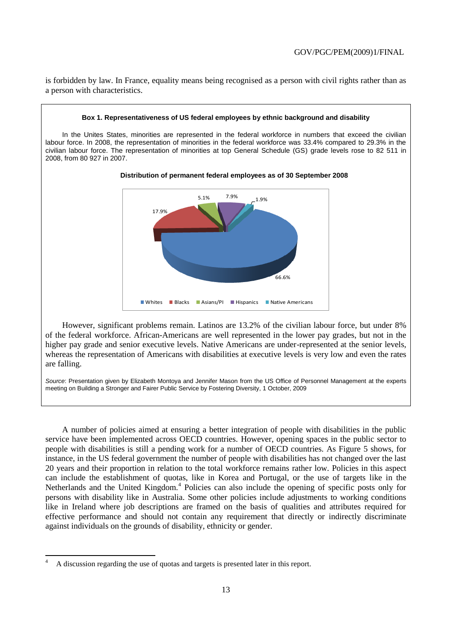is forbidden by law. In France, equality means being recognised as a person with civil rights rather than as a person with characteristics.

### **Box 1. Representativeness of US federal employees by ethnic background and disability** In the Unites States, minorities are represented in the federal workforce in numbers that exceed the civilian labour force. In 2008, the representation of minorities in the federal workforce was 33.4% compared to 29.3% in the civilian labour force. The representation of minorities at top General Schedule (GS) grade levels rose to 82 511 in 2008, from 80 927 in 2007. **Distribution of permanent federal employees as of 30 September 2008**



However, significant problems remain. Latinos are 13.2% of the civilian labour force, but under 8% of the federal workforce. African-Americans are well represented in the lower pay grades, but not in the higher pay grade and senior executive levels. Native Americans are under-represented at the senior levels, whereas the representation of Americans with disabilities at executive levels is very low and even the rates are falling.

*Source*: Presentation given by Elizabeth Montoya and Jennifer Mason from the US Office of Personnel Management at the experts meeting on Building a Stronger and Fairer Public Service by Fostering Diversity, 1 October, 2009

A number of policies aimed at ensuring a better integration of people with disabilities in the public service have been implemented across OECD countries. However, opening spaces in the public sector to people with disabilities is still a pending work for a number of OECD countries. As Figure 5 shows, for instance, in the US federal government the number of people with disabilities has not changed over the last 20 years and their proportion in relation to the total workforce remains rather low. Policies in this aspect can include the establishment of quotas, like in Korea and Portugal, or the use of targets like in the Netherlands and the United Kingdom.<sup>4</sup> Policies can also include the opening of specific posts only for persons with disability like in Australia. Some other policies include adjustments to working conditions like in Ireland where job descriptions are framed on the basis of qualities and attributes required for effective performance and should not contain any requirement that directly or indirectly discriminate against individuals on the grounds of disability, ethnicity or gender.

 $\overline{a}$ 

<sup>4</sup> A discussion regarding the use of quotas and targets is presented later in this report.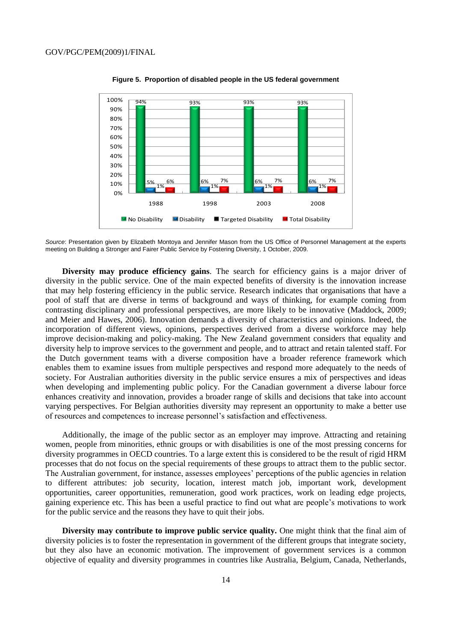

**Figure 5. Proportion of disabled people in the US federal government**

*Source*: Presentation given by Elizabeth Montoya and Jennifer Mason from the US Office of Personnel Management at the experts meeting on Building a Stronger and Fairer Public Service by Fostering Diversity, 1 October, 2009.

**Diversity may produce efficiency gains**. The search for efficiency gains is a major driver of diversity in the public service. One of the main expected benefits of diversity is the innovation increase that may help fostering efficiency in the public service. Research indicates that organisations that have a pool of staff that are diverse in terms of background and ways of thinking, for example coming from contrasting disciplinary and professional perspectives, are more likely to be innovative (Maddock, 2009; and Meier and Hawes, 2006). Innovation demands a diversity of characteristics and opinions. Indeed, the incorporation of different views, opinions, perspectives derived from a diverse workforce may help improve decision-making and policy-making. The New Zealand government considers that equality and diversity help to improve services to the government and people, and to attract and retain talented staff. For the Dutch government teams with a diverse composition have a broader reference framework which enables them to examine issues from multiple perspectives and respond more adequately to the needs of society. For Australian authorities diversity in the public service ensures a mix of perspectives and ideas when developing and implementing public policy. For the Canadian government a diverse labour force enhances creativity and innovation, provides a broader range of skills and decisions that take into account varying perspectives. For Belgian authorities diversity may represent an opportunity to make a better use of resources and competences to increase personnel"s satisfaction and effectiveness.

Additionally, the image of the public sector as an employer may improve. Attracting and retaining women, people from minorities, ethnic groups or with disabilities is one of the most pressing concerns for diversity programmes in OECD countries. To a large extent this is considered to be the result of rigid HRM processes that do not focus on the special requirements of these groups to attract them to the public sector. The Australian government, for instance, assesses employees' perceptions of the public agencies in relation to different attributes: job security, location, interest match job, important work, development opportunities, career opportunities, remuneration, good work practices, work on leading edge projects, gaining experience etc. This has been a useful practice to find out what are people"s motivations to work for the public service and the reasons they have to quit their jobs.

**Diversity may contribute to improve public service quality.** One might think that the final aim of diversity policies is to foster the representation in government of the different groups that integrate society, but they also have an economic motivation. The improvement of government services is a common objective of equality and diversity programmes in countries like Australia, Belgium, Canada, Netherlands,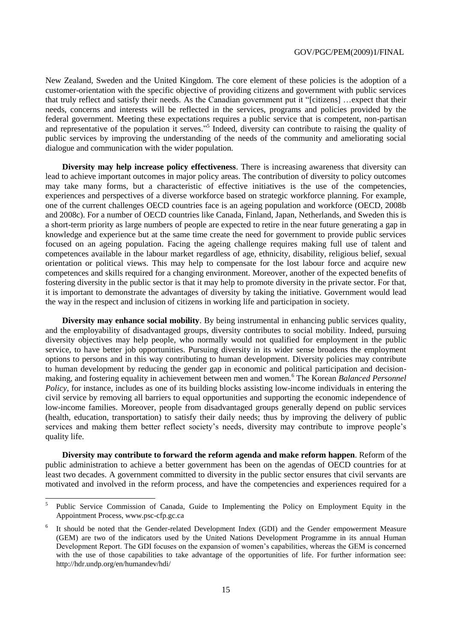New Zealand, Sweden and the United Kingdom. The core element of these policies is the adoption of a customer-orientation with the specific objective of providing citizens and government with public services that truly reflect and satisfy their needs. As the Canadian government put it "[citizens] …expect that their needs, concerns and interests will be reflected in the services, programs and policies provided by the federal government. Meeting these expectations requires a public service that is competent, non-partisan and representative of the population it serves."<sup>5</sup> Indeed, diversity can contribute to raising the quality of public services by improving the understanding of the needs of the community and ameliorating social dialogue and communication with the wider population.

**Diversity may help increase policy effectiveness**. There is increasing awareness that diversity can lead to achieve important outcomes in major policy areas. The contribution of diversity to policy outcomes may take many forms, but a characteristic of effective initiatives is the use of the competencies, experiences and perspectives of a diverse workforce based on strategic workforce planning. For example, one of the current challenges OECD countries face is an ageing population and workforce (OECD, 2008b and 2008c). For a number of OECD countries like Canada, Finland, Japan, Netherlands, and Sweden this is a short-term priority as large numbers of people are expected to retire in the near future generating a gap in knowledge and experience but at the same time create the need for government to provide public services focused on an ageing population. Facing the ageing challenge requires making full use of talent and competences available in the labour market regardless of age, ethnicity, disability, religious belief, sexual orientation or political views. This may help to compensate for the lost labour force and acquire new competences and skills required for a changing environment. Moreover, another of the expected benefits of fostering diversity in the public sector is that it may help to promote diversity in the private sector. For that, it is important to demonstrate the advantages of diversity by taking the initiative. Government would lead the way in the respect and inclusion of citizens in working life and participation in society.

**Diversity may enhance social mobility**. By being instrumental in enhancing public services quality, and the employability of disadvantaged groups, diversity contributes to social mobility. Indeed, pursuing diversity objectives may help people, who normally would not qualified for employment in the public service, to have better job opportunities. Pursuing diversity in its wider sense broadens the employment options to persons and in this way contributing to human development. Diversity policies may contribute to human development by reducing the gender gap in economic and political participation and decisionmaking, and fostering equality in achievement between men and women.<sup>6</sup> The Korean *Balanced Personnel Policy*, for instance, includes as one of its building blocks assisting low-income individuals in entering the civil service by removing all barriers to equal opportunities and supporting the economic independence of low-income families. Moreover, people from disadvantaged groups generally depend on public services (health, education, transportation) to satisfy their daily needs; thus by improving the delivery of public services and making them better reflect society's needs, diversity may contribute to improve people's quality life.

**Diversity may contribute to forward the reform agenda and make reform happen**. Reform of the public administration to achieve a better government has been on the agendas of OECD countries for at least two decades. A government committed to diversity in the public sector ensures that civil servants are motivated and involved in the reform process, and have the competencies and experiences required for a

 $\frac{1}{5}$ Public Service Commission of Canada, Guide to Implementing the Policy on Employment Equity in the Appointment Process, www.psc-cfp.gc.ca

<sup>6</sup> It should be noted that the Gender-related Development Index (GDI) and the Gender empowerment Measure (GEM) are two of the indicators used by the United Nations Development Programme in its annual Human Development Report. The GDI focuses on the expansion of women"s capabilities, whereas the GEM is concerned with the use of those capabilities to take advantage of the opportunities of life. For further information see: http://hdr.undp.org/en/humandev/hdi/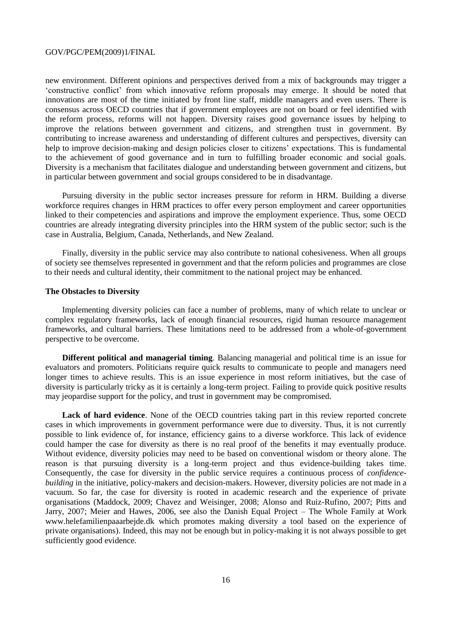new environment. Different opinions and perspectives derived from a mix of backgrounds may trigger a "constructive conflict" from which innovative reform proposals may emerge. It should be noted that innovations are most of the time initiated by front line staff, middle managers and even users. There is consensus across OECD countries that if government employees are not on board or feel identified with the reform process, reforms will not happen. Diversity raises good governance issues by helping to improve the relations between government and citizens, and strengthen trust in government. By contributing to increase awareness and understanding of different cultures and perspectives, diversity can help to improve decision-making and design policies closer to citizens' expectations. This is fundamental to the achievement of good governance and in turn to fulfilling broader economic and social goals. Diversity is a mechanism that facilitates dialogue and understanding between government and citizens, but in particular between government and social groups considered to be in disadvantage.

Pursuing diversity in the public sector increases pressure for reform in HRM. Building a diverse workforce requires changes in HRM practices to offer every person employment and career opportunities linked to their competencies and aspirations and improve the employment experience. Thus, some OECD countries are already integrating diversity principles into the HRM system of the public sector; such is the case in Australia, Belgium, Canada, Netherlands, and New Zealand.

Finally, diversity in the public service may also contribute to national cohesiveness. When all groups of society see themselves represented in government and that the reform policies and programmes are close to their needs and cultural identity, their commitment to the national project may be enhanced.

#### **The Obstacles to Diversity**

Implementing diversity policies can face a number of problems, many of which relate to unclear or complex regulatory frameworks, lack of enough financial resources, rigid human resource management frameworks, and cultural barriers. These limitations need to be addressed from a whole-of-government perspective to be overcome.

**Different political and managerial timing**. Balancing managerial and political time is an issue for evaluators and promoters. Politicians require quick results to communicate to people and managers need longer times to achieve results. This is an issue experience in most reform initiatives, but the case of diversity is particularly tricky as it is certainly a long-term project. Failing to provide quick positive results may jeopardise support for the policy, and trust in government may be compromised.

**Lack of hard evidence**. None of the OECD countries taking part in this review reported concrete cases in which improvements in government performance were due to diversity. Thus, it is not currently possible to link evidence of, for instance, efficiency gains to a diverse workforce. This lack of evidence could hamper the case for diversity as there is no real proof of the benefits it may eventually produce. Without evidence, diversity policies may need to be based on conventional wisdom or theory alone. The reason is that pursuing diversity is a long-term project and thus evidence-building takes time. Consequently, the case for diversity in the public service requires a continuous process of *confidencebuilding* in the initiative, policy-makers and decision-makers. However, diversity policies are not made in a vacuum. So far, the case for diversity is rooted in academic research and the experience of private organisations (Maddock, 2009; Chavez and Weisinger, 2008; Alonso and Ruiz-Rufino, 2007; Pitts and Jarry, 2007; Meier and Hawes, 2006, see also the Danish Equal Project – The Whole Family at Work www.helefamilienpaaarbejde.dk which promotes making diversity a tool based on the experience of private organisations). Indeed, this may not be enough but in policy-making it is not always possible to get sufficiently good evidence.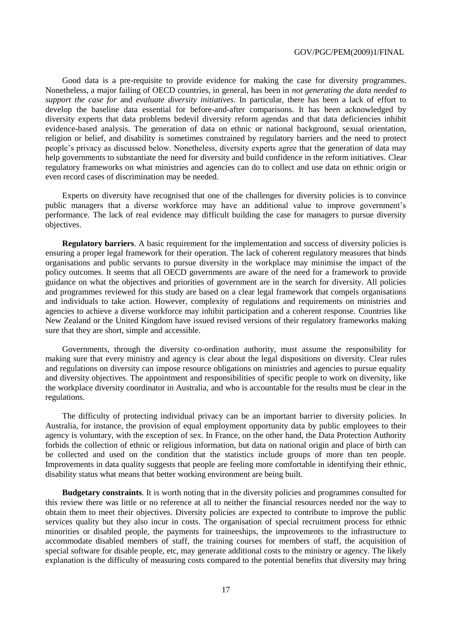Good data is a pre-requisite to provide evidence for making the case for diversity programmes. Nonetheless, a major failing of OECD countries, in general, has been in *not generating the data needed to support the case for* and *evaluate diversity initiatives*. In particular, there has been a lack of effort to develop the baseline data essential for before-and-after comparisons. It has been acknowledged by diversity experts that data problems bedevil diversity reform agendas and that data deficiencies inhibit evidence-based analysis. The generation of data on ethnic or national background, sexual orientation, religion or belief, and disability is sometimes constrained by regulatory barriers and the need to protect people"s privacy as discussed below. Nonetheless, diversity experts agree that the generation of data may help governments to substantiate the need for diversity and build confidence in the reform initiatives. Clear regulatory frameworks on what ministries and agencies can do to collect and use data on ethnic origin or even record cases of discrimination may be needed.

Experts on diversity have recognised that one of the challenges for diversity policies is to convince public managers that a diverse workforce may have an additional value to improve government's performance. The lack of real evidence may difficult building the case for managers to pursue diversity objectives.

**Regulatory barriers**. A basic requirement for the implementation and success of diversity policies is ensuring a proper legal framework for their operation. The lack of coherent regulatory measures that binds organisations and public servants to pursue diversity in the workplace may minimise the impact of the policy outcomes. It seems that all OECD governments are aware of the need for a framework to provide guidance on what the objectives and priorities of government are in the search for diversity. All policies and programmes reviewed for this study are based on a clear legal framework that compels organisations and individuals to take action. However, complexity of regulations and requirements on ministries and agencies to achieve a diverse workforce may inhibit participation and a coherent response. Countries like New Zealand or the United Kingdom have issued revised versions of their regulatory frameworks making sure that they are short, simple and accessible.

Governments, through the diversity co-ordination authority, must assume the responsibility for making sure that every ministry and agency is clear about the legal dispositions on diversity. Clear rules and regulations on diversity can impose resource obligations on ministries and agencies to pursue equality and diversity objectives. The appointment and responsibilities of specific people to work on diversity, like the workplace diversity coordinator in Australia, and who is accountable for the results must be clear in the regulations.

The difficulty of protecting individual privacy can be an important barrier to diversity policies. In Australia, for instance, the provision of equal employment opportunity data by public employees to their agency is voluntary, with the exception of sex. In France, on the other hand, the Data Protection Authority forbids the collection of ethnic or religious information, but data on national origin and place of birth can be collected and used on the condition that the statistics include groups of more than ten people. Improvements in data quality suggests that people are feeling more comfortable in identifying their ethnic, disability status what means that better working environment are being built.

**Budgetary constraints**. It is worth noting that in the diversity policies and programmes consulted for this review there was little or no reference at all to neither the financial resources needed nor the way to obtain them to meet their objectives. Diversity policies are expected to contribute to improve the public services quality but they also incur in costs. The organisation of special recruitment process for ethnic minorities or disabled people, the payments for traineeships, the improvements to the infrastructure to accommodate disabled members of staff, the training courses for members of staff, the acquisition of special software for disable people, etc, may generate additional costs to the ministry or agency. The likely explanation is the difficulty of measuring costs compared to the potential benefits that diversity may bring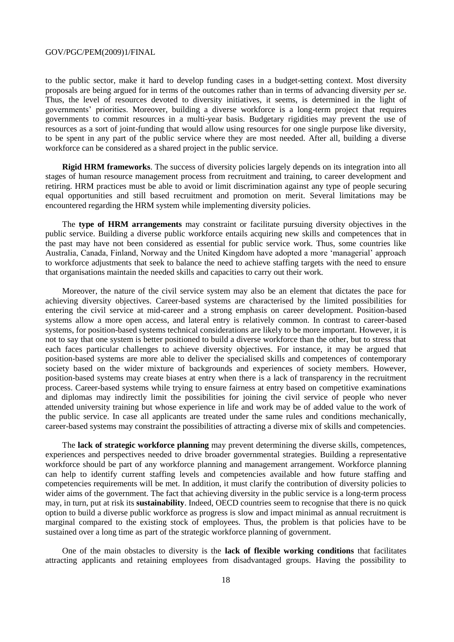to the public sector, make it hard to develop funding cases in a budget-setting context. Most diversity proposals are being argued for in terms of the outcomes rather than in terms of advancing diversity *per se*. Thus, the level of resources devoted to diversity initiatives, it seems, is determined in the light of governments" priorities. Moreover, building a diverse workforce is a long-term project that requires governments to commit resources in a multi-year basis. Budgetary rigidities may prevent the use of resources as a sort of joint-funding that would allow using resources for one single purpose like diversity, to be spent in any part of the public service where they are most needed. After all, building a diverse workforce can be considered as a shared project in the public service.

**Rigid HRM frameworks**. The success of diversity policies largely depends on its integration into all stages of human resource management process from recruitment and training, to career development and retiring. HRM practices must be able to avoid or limit discrimination against any type of people securing equal opportunities and still based recruitment and promotion on merit. Several limitations may be encountered regarding the HRM system while implementing diversity policies.

The **type of HRM arrangements** may constraint or facilitate pursuing diversity objectives in the public service. Building a diverse public workforce entails acquiring new skills and competences that in the past may have not been considered as essential for public service work. Thus, some countries like Australia, Canada, Finland, Norway and the United Kingdom have adopted a more "managerial" approach to workforce adjustments that seek to balance the need to achieve staffing targets with the need to ensure that organisations maintain the needed skills and capacities to carry out their work.

Moreover, the nature of the civil service system may also be an element that dictates the pace for achieving diversity objectives. Career-based systems are characterised by the limited possibilities for entering the civil service at mid-career and a strong emphasis on career development. Position-based systems allow a more open access, and lateral entry is relatively common. In contrast to career-based systems, for position-based systems technical considerations are likely to be more important. However, it is not to say that one system is better positioned to build a diverse workforce than the other, but to stress that each faces particular challenges to achieve diversity objectives. For instance, it may be argued that position-based systems are more able to deliver the specialised skills and competences of contemporary society based on the wider mixture of backgrounds and experiences of society members. However, position-based systems may create biases at entry when there is a lack of transparency in the recruitment process. Career-based systems while trying to ensure fairness at entry based on competitive examinations and diplomas may indirectly limit the possibilities for joining the civil service of people who never attended university training but whose experience in life and work may be of added value to the work of the public service. In case all applicants are treated under the same rules and conditions mechanically, career-based systems may constraint the possibilities of attracting a diverse mix of skills and competencies.

The **lack of strategic workforce planning** may prevent determining the diverse skills, competences, experiences and perspectives needed to drive broader governmental strategies. Building a representative workforce should be part of any workforce planning and management arrangement. Workforce planning can help to identify current staffing levels and competencies available and how future staffing and competencies requirements will be met. In addition, it must clarify the contribution of diversity policies to wider aims of the government. The fact that achieving diversity in the public service is a long-term process may, in turn, put at risk its **sustainability**. Indeed, OECD countries seem to recognise that there is no quick option to build a diverse public workforce as progress is slow and impact minimal as annual recruitment is marginal compared to the existing stock of employees. Thus, the problem is that policies have to be sustained over a long time as part of the strategic workforce planning of government.

One of the main obstacles to diversity is the **lack of flexible working conditions** that facilitates attracting applicants and retaining employees from disadvantaged groups. Having the possibility to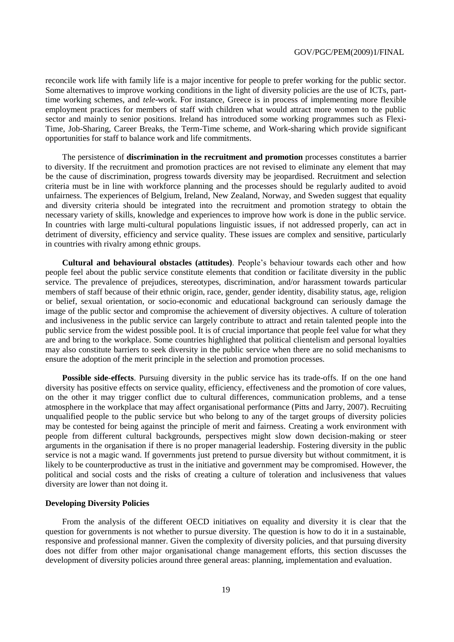reconcile work life with family life is a major incentive for people to prefer working for the public sector. Some alternatives to improve working conditions in the light of diversity policies are the use of ICTs, parttime working schemes, and *tele*-work. For instance, Greece is in process of implementing more flexible employment practices for members of staff with children what would attract more women to the public sector and mainly to senior positions. Ireland has introduced some working programmes such as Flexi-Time, Job-Sharing, Career Breaks, the Term-Time scheme, and Work-sharing which provide significant opportunities for staff to balance work and life commitments.

The persistence of **discrimination in the recruitment and promotion** processes constitutes a barrier to diversity. If the recruitment and promotion practices are not revised to eliminate any element that may be the cause of discrimination, progress towards diversity may be jeopardised. Recruitment and selection criteria must be in line with workforce planning and the processes should be regularly audited to avoid unfairness. The experiences of Belgium, Ireland, New Zealand, Norway, and Sweden suggest that equality and diversity criteria should be integrated into the recruitment and promotion strategy to obtain the necessary variety of skills, knowledge and experiences to improve how work is done in the public service. In countries with large multi-cultural populations linguistic issues, if not addressed properly, can act in detriment of diversity, efficiency and service quality. These issues are complex and sensitive, particularly in countries with rivalry among ethnic groups.

**Cultural and behavioural obstacles (attitudes)**. People"s behaviour towards each other and how people feel about the public service constitute elements that condition or facilitate diversity in the public service. The prevalence of prejudices, stereotypes, discrimination, and/or harassment towards particular members of staff because of their ethnic origin, race, gender, gender identity, disability status, age, religion or belief, sexual orientation, or socio-economic and educational background can seriously damage the image of the public sector and compromise the achievement of diversity objectives. A culture of toleration and inclusiveness in the public service can largely contribute to attract and retain talented people into the public service from the widest possible pool. It is of crucial importance that people feel value for what they are and bring to the workplace. Some countries highlighted that political clientelism and personal loyalties may also constitute barriers to seek diversity in the public service when there are no solid mechanisms to ensure the adoption of the merit principle in the selection and promotion processes.

**Possible side-effects**. Pursuing diversity in the public service has its trade-offs. If on the one hand diversity has positive effects on service quality, efficiency, effectiveness and the promotion of core values, on the other it may trigger conflict due to cultural differences, communication problems, and a tense atmosphere in the workplace that may affect organisational performance (Pitts and Jarry, 2007). Recruiting unqualified people to the public service but who belong to any of the target groups of diversity policies may be contested for being against the principle of merit and fairness. Creating a work environment with people from different cultural backgrounds, perspectives might slow down decision-making or steer arguments in the organisation if there is no proper managerial leadership. Fostering diversity in the public service is not a magic wand. If governments just pretend to pursue diversity but without commitment, it is likely to be counterproductive as trust in the initiative and government may be compromised. However, the political and social costs and the risks of creating a culture of toleration and inclusiveness that values diversity are lower than not doing it.

#### **Developing Diversity Policies**

From the analysis of the different OECD initiatives on equality and diversity it is clear that the question for governments is not whether to pursue diversity. The question is how to do it in a sustainable, responsive and professional manner. Given the complexity of diversity policies, and that pursuing diversity does not differ from other major organisational change management efforts, this section discusses the development of diversity policies around three general areas: planning, implementation and evaluation.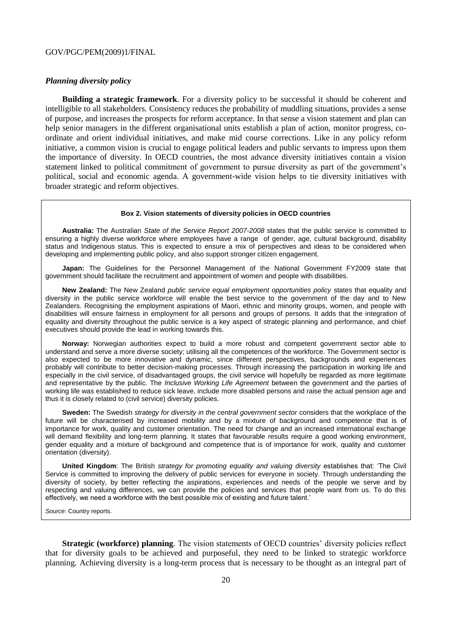#### *Planning diversity policy*

**Building a strategic framework**. For a diversity policy to be successful it should be coherent and intelligible to all stakeholders. Consistency reduces the probability of muddling situations, provides a sense of purpose, and increases the prospects for reform acceptance. In that sense a vision statement and plan can help senior managers in the different organisational units establish a plan of action, monitor progress, coordinate and orient individual initiatives, and make mid course corrections. Like in any policy reform initiative, a common vision is crucial to engage political leaders and public servants to impress upon them the importance of diversity. In OECD countries, the most advance diversity initiatives contain a vision statement linked to political commitment of government to pursue diversity as part of the government"s political, social and economic agenda. A government-wide vision helps to tie diversity initiatives with broader strategic and reform objectives.

#### **Box 2. Vision statements of diversity policies in OECD countries**

**Australia:** The Australian *State of the Service Report 2007-2008* states that the public service is committed to ensuring a highly diverse workforce where employees have a range of gender, age, cultural background, disability status and Indigenous status. This is expected to ensure a mix of perspectives and ideas to be considered when developing and implementing public policy, and also support stronger citizen engagement.

**Japan:** The Guidelines for the Personnel Management of the National Government FY2009 state that government should facilitate the recruitment and appointment of women and people with disabilities.

**New Zealand:** The New Zealand *public service equal employment opportunities policy* states that equality and diversity in the public service workforce will enable the best service to the government of the day and to New Zealanders. Recognising the employment aspirations of Maori, ethnic and minority groups, women, and people with disabilities will ensure fairness in employment for all persons and groups of persons. It adds that the integration of equality and diversity throughout the public service is a key aspect of strategic planning and performance, and chief executives should provide the lead in working towards this.

**Norway:** Norwegian authorities expect to build a more robust and competent government sector able to understand and serve a more diverse society; utilising all the competences of the workforce. The Government sector is also expected to be more innovative and dynamic, since different perspectives, backgrounds and experiences probably will contribute to better decision-making processes. Through increasing the participation in working life and especially in the civil service, of disadvantaged groups, the civil service will hopefully be regarded as more legitimate and representative by the public. The *Inclusive Working Life Agreement* between the government and the parties of working life was established to reduce sick leave, include more disabled persons and raise the actual pension age and thus it is closely related to (civil service) diversity policies.

**Sweden:** The Swedish *strategy for diversity in the central government sector* considers that the workplace of the future will be characterised by increased mobility and by a mixture of background and competence that is of importance for work, quality and customer orientation. The need for change and an increased international exchange will demand flexibility and long-term planning. It states that favourable results require a good working environment, gender equality and a mixture of background and competence that is of importance for work, quality and customer orientation (diversity).

**United Kingdom**: The British *strategy for promoting equality and valuing diversity* establishes that: 'The Civil Service is committed to improving the delivery of public services for everyone in society. Through understanding the diversity of society, by better reflecting the aspirations, experiences and needs of the people we serve and by respecting and valuing differences, we can provide the policies and services that people want from us. To do this effectively, we need a workforce with the best possible mix of existing and future talent.'

*Source*: Country reports.

**Strategic (workforce) planning**. The vision statements of OECD countries' diversity policies reflect that for diversity goals to be achieved and purposeful, they need to be linked to strategic workforce planning. Achieving diversity is a long-term process that is necessary to be thought as an integral part of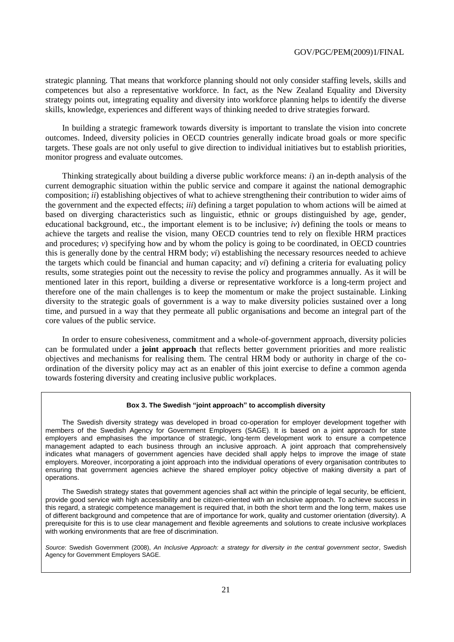strategic planning. That means that workforce planning should not only consider staffing levels, skills and competences but also a representative workforce. In fact, as the New Zealand Equality and Diversity strategy points out, integrating equality and diversity into workforce planning helps to identify the diverse skills, knowledge, experiences and different ways of thinking needed to drive strategies forward.

In building a strategic framework towards diversity is important to translate the vision into concrete outcomes. Indeed, diversity policies in OECD countries generally indicate broad goals or more specific targets. These goals are not only useful to give direction to individual initiatives but to establish priorities, monitor progress and evaluate outcomes.

Thinking strategically about building a diverse public workforce means: *i*) an in-depth analysis of the current demographic situation within the public service and compare it against the national demographic composition; *ii*) establishing objectives of what to achieve strengthening their contribution to wider aims of the government and the expected effects; *iii*) defining a target population to whom actions will be aimed at based on diverging characteristics such as linguistic, ethnic or groups distinguished by age, gender, educational background, etc., the important element is to be inclusive;  $iv$ ) defining the tools or means to achieve the targets and realise the vision, many OECD countries tend to rely on flexible HRM practices and procedures;  $\nu$ ) specifying how and by whom the policy is going to be coordinated, in OECD countries this is generally done by the central HRM body; *vi*) establishing the necessary resources needed to achieve the targets which could be financial and human capacity; and *vi*) defining a criteria for evaluating policy results, some strategies point out the necessity to revise the policy and programmes annually. As it will be mentioned later in this report, building a diverse or representative workforce is a long-term project and therefore one of the main challenges is to keep the momentum or make the project sustainable. Linking diversity to the strategic goals of government is a way to make diversity policies sustained over a long time, and pursued in a way that they permeate all public organisations and become an integral part of the core values of the public service.

In order to ensure cohesiveness, commitment and a whole-of-government approach, diversity policies can be formulated under a **joint approach** that reflects better government priorities and more realistic objectives and mechanisms for realising them. The central HRM body or authority in charge of the coordination of the diversity policy may act as an enabler of this joint exercise to define a common agenda towards fostering diversity and creating inclusive public workplaces.

#### **Box 3. The Swedish "joint approach" to accomplish diversity**

The Swedish diversity strategy was developed in broad co-operation for employer development together with members of the Swedish Agency for Government Employers (SAGE). It is based on a joint approach for state employers and emphasises the importance of strategic, long-term development work to ensure a competence management adapted to each business through an inclusive approach. A joint approach that comprehensively indicates what managers of government agencies have decided shall apply helps to improve the image of state employers. Moreover, incorporating a joint approach into the individual operations of every organisation contributes to ensuring that government agencies achieve the shared employer policy objective of making diversity a part of operations.

The Swedish strategy states that government agencies shall act within the principle of legal security, be efficient, provide good service with high accessibility and be citizen-oriented with an inclusive approach. To achieve success in this regard, a strategic competence management is required that, in both the short term and the long term, makes use of different background and competence that are of importance for work, quality and customer orientation (diversity). A prerequisite for this is to use clear management and flexible agreements and solutions to create inclusive workplaces with working environments that are free of discrimination.

*Source*: Swedish Government (2008), *An Inclusive Approach: a strategy for diversity in the central government sector*, Swedish Agency for Government Employers SAGE.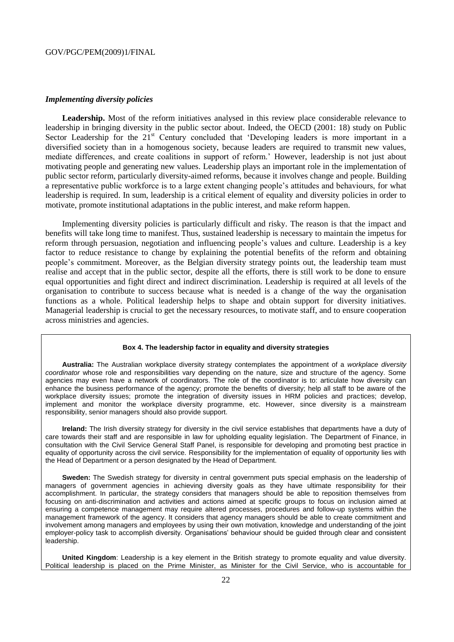#### *Implementing diversity policies*

Leadership. Most of the reform initiatives analysed in this review place considerable relevance to leadership in bringing diversity in the public sector about. Indeed, the OECD (2001: 18) study on Public Sector Leadership for the  $21<sup>st</sup>$  Century concluded that 'Developing leaders is more important in a diversified society than in a homogenous society, because leaders are required to transmit new values, mediate differences, and create coalitions in support of reform." However, leadership is not just about motivating people and generating new values. Leadership plays an important role in the implementation of public sector reform, particularly diversity-aimed reforms, because it involves change and people. Building a representative public workforce is to a large extent changing people"s attitudes and behaviours, for what leadership is required. In sum, leadership is a critical element of equality and diversity policies in order to motivate, promote institutional adaptations in the public interest, and make reform happen.

Implementing diversity policies is particularly difficult and risky. The reason is that the impact and benefits will take long time to manifest. Thus, sustained leadership is necessary to maintain the impetus for reform through persuasion, negotiation and influencing people"s values and culture. Leadership is a key factor to reduce resistance to change by explaining the potential benefits of the reform and obtaining people"s commitment. Moreover, as the Belgian diversity strategy points out, the leadership team must realise and accept that in the public sector, despite all the efforts, there is still work to be done to ensure equal opportunities and fight direct and indirect discrimination. Leadership is required at all levels of the organisation to contribute to success because what is needed is a change of the way the organisation functions as a whole. Political leadership helps to shape and obtain support for diversity initiatives. Managerial leadership is crucial to get the necessary resources, to motivate staff, and to ensure cooperation across ministries and agencies.

#### **Box 4. The leadership factor in equality and diversity strategies**

**Australia:** The Australian workplace diversity strategy contemplates the appointment of a *workplace diversity coordinator* whose role and responsibilities vary depending on the nature, size and structure of the agency. Some agencies may even have a network of coordinators. The role of the coordinator is to: articulate how diversity can enhance the business performance of the agency; promote the benefits of diversity; help all staff to be aware of the workplace diversity issues; promote the integration of diversity issues in HRM policies and practices; develop, implement and monitor the workplace diversity programme, etc. However, since diversity is a mainstream responsibility, senior managers should also provide support.

**Ireland:** The Irish diversity strategy for diversity in the civil service establishes that departments have a duty of care towards their staff and are responsible in law for upholding equality legislation. The Department of Finance, in consultation with the Civil Service General Staff Panel, is responsible for developing and promoting best practice in equality of opportunity across the civil service. Responsibility for the implementation of equality of opportunity lies with the Head of Department or a person designated by the Head of Department.

**Sweden:** The Swedish strategy for diversity in central government puts special emphasis on the leadership of managers of government agencies in achieving diversity goals as they have ultimate responsibility for their accomplishment. In particular, the strategy considers that managers should be able to reposition themselves from focusing on anti-discrimination and activities and actions aimed at specific groups to focus on inclusion aimed at ensuring a competence management may require altered processes, procedures and follow-up systems within the management framework of the agency. It considers that agency managers should be able to create commitment and involvement among managers and employees by using their own motivation, knowledge and understanding of the joint employer-policy task to accomplish diversity. Organisations' behaviour should be guided through clear and consistent leadership.

**United Kingdom**: Leadership is a key element in the British strategy to promote equality and value diversity. Political leadership is placed on the Prime Minister, as Minister for the Civil Service, who is accountable for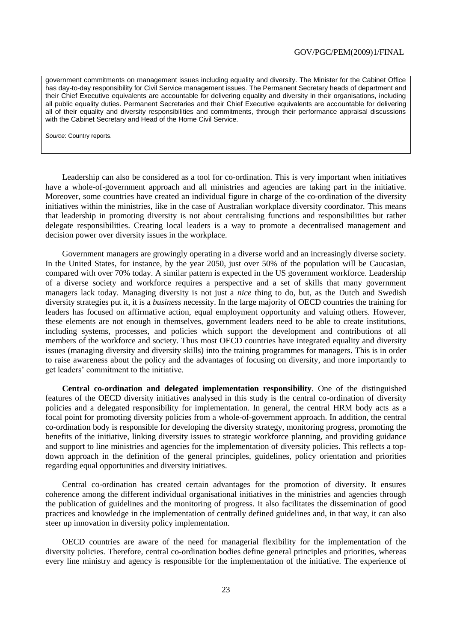government commitments on management issues including equality and diversity. The Minister for the Cabinet Office has day-to-day responsibility for Civil Service management issues. The Permanent Secretary heads of department and their Chief Executive equivalents are accountable for delivering equality and diversity in their organisations, including all public equality duties. Permanent Secretaries and their Chief Executive equivalents are accountable for delivering all of their equality and diversity responsibilities and commitments, through their performance appraisal discussions with the Cabinet Secretary and Head of the Home Civil Service.

*Source*: Country reports.

Leadership can also be considered as a tool for co-ordination. This is very important when initiatives have a whole-of-government approach and all ministries and agencies are taking part in the initiative. Moreover, some countries have created an individual figure in charge of the co-ordination of the diversity initiatives within the ministries, like in the case of Australian workplace diversity coordinator. This means that leadership in promoting diversity is not about centralising functions and responsibilities but rather delegate responsibilities. Creating local leaders is a way to promote a decentralised management and decision power over diversity issues in the workplace.

Government managers are growingly operating in a diverse world and an increasingly diverse society. In the United States, for instance, by the year 2050, just over 50% of the population will be Caucasian, compared with over 70% today. A similar pattern is expected in the US government workforce. Leadership of a diverse society and workforce requires a perspective and a set of skills that many government managers lack today. Managing diversity is not just a *nice* thing to do, but, as the Dutch and Swedish diversity strategies put it, it is a *business* necessity. In the large majority of OECD countries the training for leaders has focused on affirmative action, equal employment opportunity and valuing others. However, these elements are not enough in themselves, government leaders need to be able to create institutions, including systems, processes, and policies which support the development and contributions of all members of the workforce and society. Thus most OECD countries have integrated equality and diversity issues (managing diversity and diversity skills) into the training programmes for managers. This is in order to raise awareness about the policy and the advantages of focusing on diversity, and more importantly to get leaders" commitment to the initiative.

**Central co-ordination and delegated implementation responsibility**. One of the distinguished features of the OECD diversity initiatives analysed in this study is the central co-ordination of diversity policies and a delegated responsibility for implementation. In general, the central HRM body acts as a focal point for promoting diversity policies from a whole-of-government approach. In addition, the central co-ordination body is responsible for developing the diversity strategy, monitoring progress, promoting the benefits of the initiative, linking diversity issues to strategic workforce planning, and providing guidance and support to line ministries and agencies for the implementation of diversity policies. This reflects a topdown approach in the definition of the general principles, guidelines, policy orientation and priorities regarding equal opportunities and diversity initiatives.

Central co-ordination has created certain advantages for the promotion of diversity. It ensures coherence among the different individual organisational initiatives in the ministries and agencies through the publication of guidelines and the monitoring of progress. It also facilitates the dissemination of good practices and knowledge in the implementation of centrally defined guidelines and, in that way, it can also steer up innovation in diversity policy implementation.

OECD countries are aware of the need for managerial flexibility for the implementation of the diversity policies. Therefore, central co-ordination bodies define general principles and priorities, whereas every line ministry and agency is responsible for the implementation of the initiative. The experience of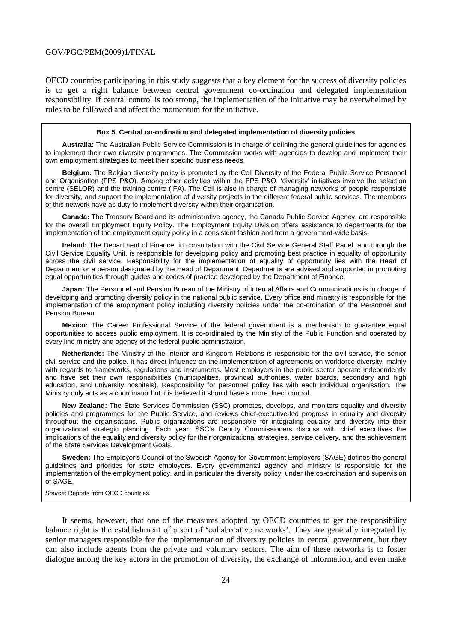OECD countries participating in this study suggests that a key element for the success of diversity policies is to get a right balance between central government co-ordination and delegated implementation responsibility. If central control is too strong, the implementation of the initiative may be overwhelmed by rules to be followed and affect the momentum for the initiative.

#### **Box 5. Central co-ordination and delegated implementation of diversity policies**

**Australia:** The Australian Public Service Commission is in charge of defining the general guidelines for agencies to implement their own diversity programmes. The Commission works with agencies to develop and implement their own employment strategies to meet their specific business needs.

**Belgium:** The Belgian diversity policy is promoted by the Cell Diversity of the Federal Public Service Personnel and Organisation (FPS P&O). Among other activities within the FPS P&O, 'diversity' initiatives involve the selection centre (SELOR) and the training centre (IFA). The Cell is also in charge of managing networks of people responsible for diversity, and support the implementation of diversity projects in the different federal public services. The members of this network have as duty to implement diversity within their organisation.

**Canada:** The Treasury Board and its administrative agency, the Canada Public Service Agency, are responsible for the overall Employment Equity Policy. The Employment Equity Division offers assistance to departments for the implementation of the employment equity policy in a consistent fashion and from a government-wide basis.

**Ireland:** The Department of Finance, in consultation with the Civil Service General Staff Panel, and through the Civil Service Equality Unit, is responsible for developing policy and promoting best practice in equality of opportunity across the civil service. Responsibility for the implementation of equality of opportunity lies with the Head of Department or a person designated by the Head of Department. Departments are advised and supported in promoting equal opportunities through guides and codes of practice developed by the Department of Finance.

**Japan:** The Personnel and Pension Bureau of the Ministry of Internal Affairs and Communications is in charge of developing and promoting diversity policy in the national public service. Every office and ministry is responsible for the implementation of the employment policy including diversity policies under the co-ordination of the Personnel and Pension Bureau.

**Mexico:** The Career Professional Service of the federal government is a mechanism to guarantee equal opportunities to access public employment. It is co-ordinated by the Ministry of the Public Function and operated by every line ministry and agency of the federal public administration.

**Netherlands:** The Ministry of the Interior and Kingdom Relations is responsible for the civil service, the senior civil service and the police. It has direct influence on the implementation of agreements on workforce diversity, mainly with regards to frameworks, regulations and instruments. Most employers in the public sector operate independently and have set their own responsibilities (municipalities, provincial authorities, water boards, secondary and high education, and university hospitals). Responsibility for personnel policy lies with each individual organisation. The Ministry only acts as a coordinator but it is believed it should have a more direct control.

**New Zealand:** The State Services Commission (SSC) promotes, develops, and monitors equality and diversity policies and programmes for the Public Service, and reviews chief-executive-led progress in equality and diversity throughout the organisations. Public organizations are responsible for integrating equality and diversity into their organizational strategic planning. Each year, SSC's Deputy Commissioners discuss with chief executives the implications of the equality and diversity policy for their organizational strategies, service delivery, and the achievement of the State Services Development Goals.

**Sweden:** The Employer's Council of the Swedish Agency for Government Employers (SAGE) defines the general guidelines and priorities for state employers. Every governmental agency and ministry is responsible for the implementation of the employment policy, and in particular the diversity policy, under the co-ordination and supervision of SAGE.

*Source*: Reports from OECD countries.

It seems, however, that one of the measures adopted by OECD countries to get the responsibility balance right is the establishment of a sort of "collaborative networks". They are generally integrated by senior managers responsible for the implementation of diversity policies in central government, but they can also include agents from the private and voluntary sectors. The aim of these networks is to foster dialogue among the key actors in the promotion of diversity, the exchange of information, and even make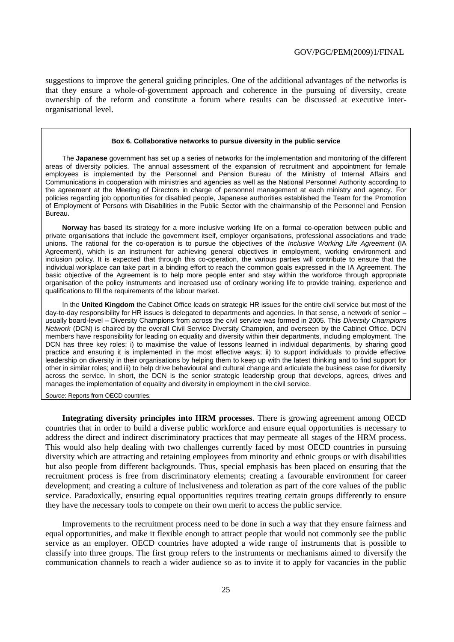suggestions to improve the general guiding principles. One of the additional advantages of the networks is that they ensure a whole-of-government approach and coherence in the pursuing of diversity, create ownership of the reform and constitute a forum where results can be discussed at executive interorganisational level.

#### **Box 6. Collaborative networks to pursue diversity in the public service**

The **Japanese** government has set up a series of networks for the implementation and monitoring of the different areas of diversity policies. The annual assessment of the expansion of recruitment and appointment for female employees is implemented by the Personnel and Pension Bureau of the Ministry of Internal Affairs and Communications in cooperation with ministries and agencies as well as the National Personnel Authority according to the agreement at the Meeting of Directors in charge of personnel management at each ministry and agency. For policies regarding job opportunities for disabled people, Japanese authorities established the Team for the Promotion of Employment of Persons with Disabilities in the Public Sector with the chairmanship of the Personnel and Pension Bureau.

**Norway** has based its strategy for a more inclusive working life on a formal co-operation between public and private organisations that include the government itself, employer organisations, professional associations and trade unions. The rational for the co-operation is to pursue the objectives of the *Inclusive Working Life Agreement* (IA Agreement), which is an instrument for achieving general objectives in employment, working environment and inclusion policy. It is expected that through this co-operation, the various parties will contribute to ensure that the individual workplace can take part in a binding effort to reach the common goals expressed in the IA Agreement. The basic objective of the Agreement is to help more people enter and stay within the workforce through appropriate organisation of the policy instruments and increased use of ordinary working life to provide training, experience and qualifications to fill the requirements of the labour market.

In the **United Kingdom** the Cabinet Office leads on strategic HR issues for the entire civil service but most of the day-to-day responsibility for HR issues is delegated to departments and agencies. In that sense, a network of senior – usually board-level – Diversity Champions from across the civil service was formed in 2005. This *Diversity Champions Network* (DCN) is chaired by the overall Civil Service Diversity Champion, and overseen by the Cabinet Office. DCN members have responsibility for leading on equality and diversity within their departments, including employment. The DCN has three key roles: i) to maximise the value of lessons learned in individual departments, by sharing good practice and ensuring it is implemented in the most effective ways; ii) to support individuals to provide effective leadership on diversity in their organisations by helping them to keep up with the latest thinking and to find support for other in similar roles; and iii) to help drive behavioural and cultural change and articulate the business case for diversity across the service. In short, the DCN is the senior strategic leadership group that develops, agrees, drives and manages the implementation of equality and diversity in employment in the civil service.

*Source*: Reports from OECD countries.

**Integrating diversity principles into HRM processes**. There is growing agreement among OECD countries that in order to build a diverse public workforce and ensure equal opportunities is necessary to address the direct and indirect discriminatory practices that may permeate all stages of the HRM process. This would also help dealing with two challenges currently faced by most OECD countries in pursuing diversity which are attracting and retaining employees from minority and ethnic groups or with disabilities but also people from different backgrounds. Thus, special emphasis has been placed on ensuring that the recruitment process is free from discriminatory elements; creating a favourable environment for career development; and creating a culture of inclusiveness and toleration as part of the core values of the public service. Paradoxically, ensuring equal opportunities requires treating certain groups differently to ensure they have the necessary tools to compete on their own merit to access the public service.

Improvements to the recruitment process need to be done in such a way that they ensure fairness and equal opportunities, and make it flexible enough to attract people that would not commonly see the public service as an employer. OECD countries have adopted a wide range of instruments that is possible to classify into three groups. The first group refers to the instruments or mechanisms aimed to diversify the communication channels to reach a wider audience so as to invite it to apply for vacancies in the public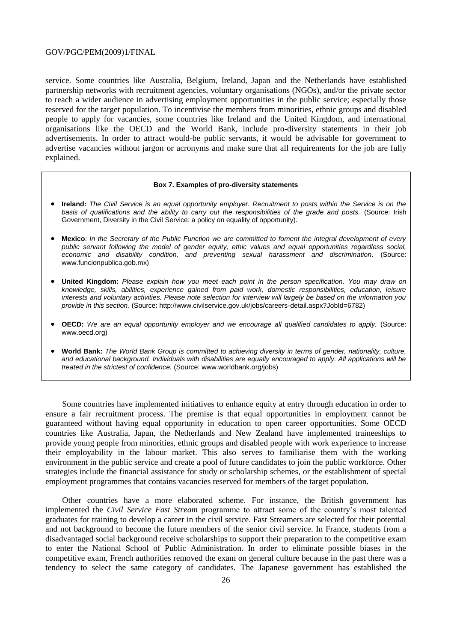service. Some countries like Australia, Belgium, Ireland, Japan and the Netherlands have established partnership networks with recruitment agencies, voluntary organisations (NGOs), and/or the private sector to reach a wider audience in advertising employment opportunities in the public service; especially those reserved for the target population. To incentivise the members from minorities, ethnic groups and disabled people to apply for vacancies, some countries like Ireland and the United Kingdom, and international organisations like the OECD and the World Bank, include pro-diversity statements in their job advertisements. In order to attract would-be public servants, it would be advisable for government to advertise vacancies without jargon or acronyms and make sure that all requirements for the job are fully explained.

#### **Box 7. Examples of pro-diversity statements**

- **Ireland:** *The Civil Service is an equal opportunity employer. Recruitment to posts within the Service is on the*  basis of qualifications and the ability to carry out the responsibilities of the grade and posts. (Source: Irish Government, Diversity in the Civil Service: a policy on equality of opportunity).
- **Mexico**: *In the Secretary of the Public Function we are committed to foment the integral development of every public servant following the model of gender equity, ethic values and equal opportunities regardless social, economic and disability condition, and preventing sexual harassment and discrimination.* (Source: www.funcionpublica.gob.mx)
- **United Kingdom:** *Please explain how you meet each point in the person specification. You may draw on knowledge, skills, abilities, experience gained from paid work, domestic responsibilities, education, leisure interests and voluntary activities. Please note selection for interview will largely be based on the information you provide in this section.* (Source: http://www.civilservice.gov.uk/jobs/careers-detail.aspx?JobId=6782)
- **OECD:** *We are an equal opportunity employer and we encourage all qualified candidates to apply.* (Source: www.oecd.org)
- **World Bank:** *The World Bank Group is committed to achieving diversity in terms of gender, nationality, culture, and educational background. Individuals with disabilities are equally encouraged to apply. All applications will be treated in the strictest of confidence.* (Source: www.worldbank.org/jobs)

Some countries have implemented initiatives to enhance equity at entry through education in order to ensure a fair recruitment process. The premise is that equal opportunities in employment cannot be guaranteed without having equal opportunity in education to open career opportunities. Some OECD countries like Australia, Japan, the Netherlands and New Zealand have implemented traineeships to provide young people from minorities, ethnic groups and disabled people with work experience to increase their employability in the labour market. This also serves to familiarise them with the working environment in the public service and create a pool of future candidates to join the public workforce. Other strategies include the financial assistance for study or scholarship schemes, or the establishment of special employment programmes that contains vacancies reserved for members of the target population.

Other countries have a more elaborated scheme. For instance, the British government has implemented the *Civil Service Fast Stream* programme to attract some of the country"s most talented graduates for training to develop a career in the civil service. Fast Streamers are selected for their potential and not background to become the future members of the senior civil service. In France, students from a disadvantaged social background receive scholarships to support their preparation to the competitive exam to enter the National School of Public Administration. In order to eliminate possible biases in the competitive exam, French authorities removed the exam on general culture because in the past there was a tendency to select the same category of candidates. The Japanese government has established the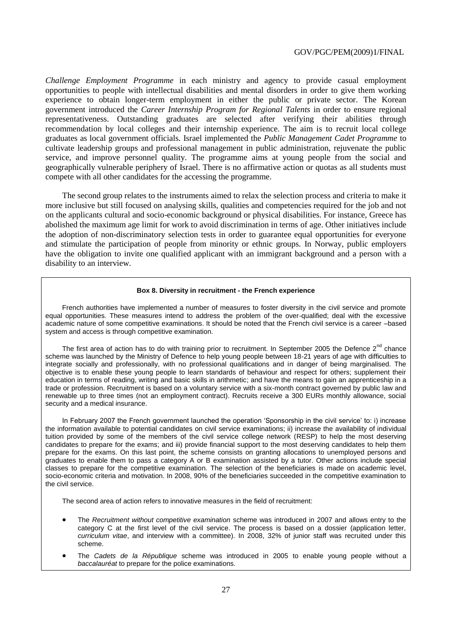*Challenge Employment Programme* in each ministry and agency to provide casual employment opportunities to people with intellectual disabilities and mental disorders in order to give them working experience to obtain longer-term employment in either the public or private sector. The Korean government introduced the *Career Internship Program for Regional Talents* in order to ensure regional representativeness. Outstanding graduates are selected after verifying their abilities through recommendation by local colleges and their internship experience. The aim is to recruit local college graduates as local government officials. Israel implemented the *Public Management Cadet Programme* to cultivate leadership groups and professional management in public administration, rejuvenate the public service, and improve personnel quality. The programme aims at young people from the social and geographically vulnerable periphery of Israel. There is no affirmative action or quotas as all students must compete with all other candidates for the accessing the programme.

The second group relates to the instruments aimed to relax the selection process and criteria to make it more inclusive but still focused on analysing skills, qualities and competencies required for the job and not on the applicants cultural and socio-economic background or physical disabilities. For instance, Greece has abolished the maximum age limit for work to avoid discrimination in terms of age. Other initiatives include the adoption of non-discriminatory selection tests in order to guarantee equal opportunities for everyone and stimulate the participation of people from minority or ethnic groups. In Norway, public employers have the obligation to invite one qualified applicant with an immigrant background and a person with a disability to an interview.

#### **Box 8. Diversity in recruitment - the French experience**

French authorities have implemented a number of measures to foster diversity in the civil service and promote equal opportunities. These measures intend to address the problem of the over-qualified; deal with the excessive academic nature of some competitive examinations. It should be noted that the French civil service is a career –based system and access is through competitive examination.

The first area of action has to do with training prior to recruitment. In September 2005 the Defence 2<sup>nd</sup> chance scheme was launched by the Ministry of Defence to help young people between 18-21 years of age with difficulties to integrate socially and professionally, with no professional qualifications and in danger of being marginalised. The objective is to enable these young people to learn standards of behaviour and respect for others; supplement their education in terms of reading, writing and basic skills in arithmetic; and have the means to gain an apprenticeship in a trade or profession. Recruitment is based on a voluntary service with a six-month contract governed by public law and renewable up to three times (not an employment contract). Recruits receive a 300 EURs monthly allowance, social security and a medical insurance.

In February 2007 the French government launched the operation 'Sponsorship in the civil service' to: i) increase the information available to potential candidates on civil service examinations; ii) increase the availability of individual tuition provided by some of the members of the civil service college network (RESP) to help the most deserving candidates to prepare for the exams; and iii) provide financial support to the most deserving candidates to help them prepare for the exams. On this last point, the scheme consists on granting allocations to unemployed persons and graduates to enable them to pass a category A or B examination assisted by a tutor. Other actions include special classes to prepare for the competitive examination. The selection of the beneficiaries is made on academic level, socio-economic criteria and motivation. In 2008, 90% of the beneficiaries succeeded in the competitive examination to the civil service.

The second area of action refers to innovative measures in the field of recruitment:

- The *Recruitment without competitive examination* scheme was introduced in 2007 and allows entry to the category C at the first level of the civil service. The process is based on a dossier (application letter, *curriculum vitae*, and interview with a committee). In 2008, 32% of junior staff was recruited under this scheme.
- The *Cadets de la République* scheme was introduced in 2005 to enable young people without a *baccalauréat* to prepare for the police examinations.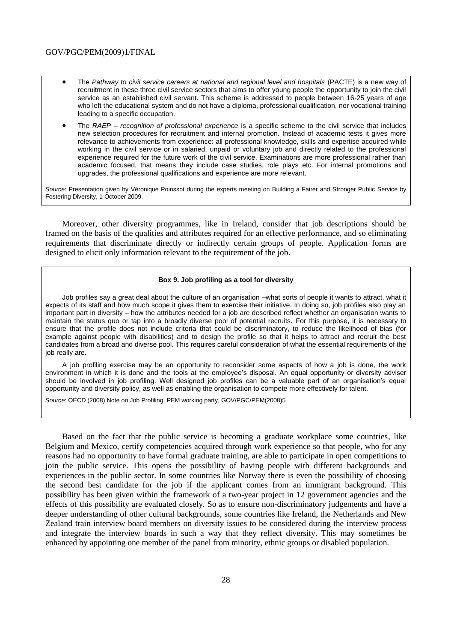- The *Pathway to civil service careers at national and regional level and hospitals* (PACTE) is a new way of recruitment in these three civil service sectors that aims to offer young people the opportunity to join the civil service as an established civil servant. This scheme is addressed to people between 16-25 years of age who left the educational system and do not have a diploma, professional qualification, nor vocational training leading to a specific occupation.
- The *RAEP – recognition of professional experience* is a specific scheme to the civil service that includes new selection procedures for recruitment and internal promotion. Instead of academic tests it gives more relevance to achievements from experience: all professional knowledge, skills and expertise acquired while working in the civil service or in salaried, unpaid or voluntary job and directly related to the professional experience required for the future work of the civil service. Examinations are more professional rather than academic focused, that means they include case studies, role plays etc. For internal promotions and upgrades, the professional qualifications and experience are more relevant.

*Source*: Presentation given by Véronique Poinssot during the experts meeting on Building a Fairer and Stronger Public Service by Fostering Diversity, 1 October 2009.

Moreover, other diversity programmes, like in Ireland, consider that job descriptions should be framed on the basis of the qualities and attributes required for an effective performance, and so eliminating requirements that discriminate directly or indirectly certain groups of people. Application forms are designed to elicit only information relevant to the requirement of the job.

#### **Box 9. Job profiling as a tool for diversity**

Job profiles say a great deal about the culture of an organisation –what sorts of people it wants to attract, what it expects of its staff and how much scope it gives them to exercise their initiative. In doing so, job profiles also play an important part in diversity – how the attributes needed for a job are described reflect whether an organisation wants to maintain the status quo or tap into a broadly diverse pool of potential recruits. For this purpose, it is necessary to ensure that the profile does not include criteria that could be discriminatory, to reduce the likelihood of bias (for example against people with disabilities) and to design the profile so that it helps to attract and recruit the best candidates from a broad and diverse pool. This requires careful consideration of what the essential requirements of the job really are.

A job profiling exercise may be an opportunity to reconsider some aspects of how a job is done, the work environment in which it is done and the tools at the employee's disposal. An equal opportunity or diversity adviser should be involved in job profiling. Well designed job profiles can be a valuable part of an organisation's equal opportunity and diversity policy, as well as enabling the organisation to compete more effectively for talent.

*Source*: OECD (2008) Note on Job Profiling, PEM working party, GOV/PGC/PEM(2008)5

Based on the fact that the public service is becoming a graduate workplace some countries, like Belgium and Mexico, certify competencies acquired through work experience so that people, who for any reasons had no opportunity to have formal graduate training, are able to participate in open competitions to join the public service. This opens the possibility of having people with different backgrounds and experiences in the public sector. In some countries like Norway there is even the possibility of choosing the second best candidate for the job if the applicant comes from an immigrant background. This possibility has been given within the framework of a two-year project in 12 government agencies and the effects of this possibility are evaluated closely. So as to ensure non-discriminatory judgements and have a deeper understanding of other cultural backgrounds, some countries like Ireland, the Netherlands and New Zealand train interview board members on diversity issues to be considered during the interview process and integrate the interview boards in such a way that they reflect diversity. This may sometimes be enhanced by appointing one member of the panel from minority, ethnic groups or disabled population.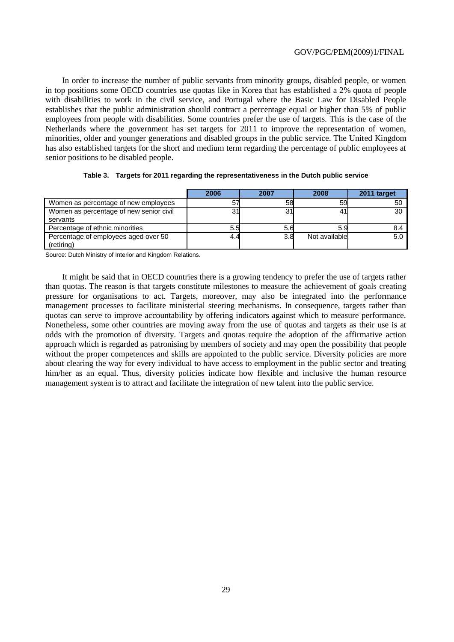In order to increase the number of public servants from minority groups, disabled people, or women in top positions some OECD countries use quotas like in Korea that has established a 2% quota of people with disabilities to work in the civil service, and Portugal where the Basic Law for Disabled People establishes that the public administration should contract a percentage equal or higher than 5% of public employees from people with disabilities. Some countries prefer the use of targets. This is the case of the Netherlands where the government has set targets for 2011 to improve the representation of women, minorities, older and younger generations and disabled groups in the public service. The United Kingdom has also established targets for the short and medium term regarding the percentage of public employees at senior positions to be disabled people.

|                                         | 2006 | 2007 | 2008          | 2011 target |
|-----------------------------------------|------|------|---------------|-------------|
| Women as percentage of new employees    |      | 58   | 59            | 50          |
| Women as percentage of new senior civil |      | 31   |               | 30          |
| servants                                |      |      |               |             |
| Percentage of ethnic minorities         | 5.5  | 5.6  |               | 8.4         |
| Percentage of employees aged over 50    | 4.4  | 3.8  | Not available | 5.0         |
| (retiring)                              |      |      |               |             |

|  |  |  | Table 3. Targets for 2011 regarding the representativeness in the Dutch public service |  |  |
|--|--|--|----------------------------------------------------------------------------------------|--|--|
|--|--|--|----------------------------------------------------------------------------------------|--|--|

Source: Dutch Ministry of Interior and Kingdom Relations.

It might be said that in OECD countries there is a growing tendency to prefer the use of targets rather than quotas. The reason is that targets constitute milestones to measure the achievement of goals creating pressure for organisations to act. Targets, moreover, may also be integrated into the performance management processes to facilitate ministerial steering mechanisms. In consequence, targets rather than quotas can serve to improve accountability by offering indicators against which to measure performance. Nonetheless, some other countries are moving away from the use of quotas and targets as their use is at odds with the promotion of diversity. Targets and quotas require the adoption of the affirmative action approach which is regarded as patronising by members of society and may open the possibility that people without the proper competences and skills are appointed to the public service. Diversity policies are more about clearing the way for every individual to have access to employment in the public sector and treating him/her as an equal. Thus, diversity policies indicate how flexible and inclusive the human resource management system is to attract and facilitate the integration of new talent into the public service.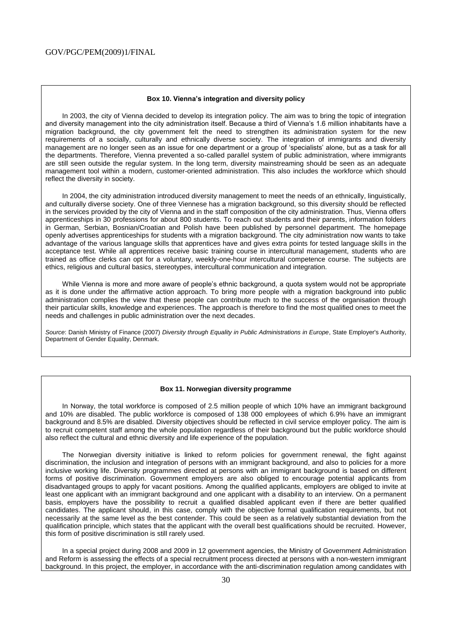#### **Box 10. Vienna's integration and diversity policy**

In 2003, the city of Vienna decided to develop its integration policy. The aim was to bring the topic of integration and diversity management into the city administration itself. Because a third of Vienna's 1.6 million inhabitants have a migration background, the city government felt the need to strengthen its administration system for the new requirements of a socially, culturally and ethnically diverse society. The integration of immigrants and diversity management are no longer seen as an issue for one department or a group of 'specialists' alone, but as a task for all the departments. Therefore, Vienna prevented a so-called parallel system of public administration, where immigrants are still seen outside the regular system. In the long term, diversity mainstreaming should be seen as an adequate management tool within a modern, customer-oriented administration. This also includes the workforce which should reflect the diversity in society.

In 2004, the city administration introduced diversity management to meet the needs of an ethnically, linguistically, and culturally diverse society. One of three Viennese has a migration background, so this diversity should be reflected in the services provided by the city of Vienna and in the staff composition of the city administration. Thus, Vienna offers apprenticeships in 30 professions for about 800 students. To reach out students and their parents, information folders in German, Serbian, Bosnian/Croatian and Polish have been published by personnel department. The homepage openly advertises apprenticeships for students with a migration background. The city administration now wants to take advantage of the various language skills that apprentices have and gives extra points for tested language skills in the acceptance test. While all apprentices receive basic training course in intercultural management, students who are trained as office clerks can opt for a voluntary, weekly-one-hour intercultural competence course. The subjects are ethics, religious and cultural basics, stereotypes, intercultural communication and integration.

While Vienna is more and more aware of people's ethnic background, a quota system would not be appropriate as it is done under the affirmative action approach. To bring more people with a migration background into public administration complies the view that these people can contribute much to the success of the organisation through their particular skills, knowledge and experiences. The approach is therefore to find the most qualified ones to meet the needs and challenges in public administration over the next decades.

*Source*: Danish Ministry of Finance (2007) *Diversity through Equality in Public Administrations in Europe*, State Employer's Authority, Department of Gender Equality, Denmark.

#### **Box 11. Norwegian diversity programme**

In Norway, the total workforce is composed of 2.5 million people of which 10% have an immigrant background and 10% are disabled. The public workforce is composed of 138 000 employees of which 6.9% have an immigrant background and 8.5% are disabled. Diversity objectives should be reflected in civil service employer policy. The aim is to recruit competent staff among the whole population regardless of their background but the public workforce should also reflect the cultural and ethnic diversity and life experience of the population.

The Norwegian diversity initiative is linked to reform policies for government renewal, the fight against discrimination, the inclusion and integration of persons with an immigrant background, and also to policies for a more inclusive working life. Diversity programmes directed at persons with an immigrant background is based on different forms of positive discrimination. Government employers are also obliged to encourage potential applicants from disadvantaged groups to apply for vacant positions. Among the qualified applicants, employers are obliged to invite at least one applicant with an immigrant background and one applicant with a disability to an interview. On a permanent basis, employers have the possibility to recruit a qualified disabled applicant even if there are better qualified candidates. The applicant should, in this case, comply with the objective formal qualification requirements, but not necessarily at the same level as the best contender. This could be seen as a relatively substantial deviation from the qualification principle, which states that the applicant with the overall best qualifications should be recruited. However, this form of positive discrimination is still rarely used.

In a special project during 2008 and 2009 in 12 government agencies, the Ministry of Government Administration and Reform is assessing the effects of a special recruitment process directed at persons with a non-western immigrant background. In this project, the employer, in accordance with the anti-discrimination regulation among candidates with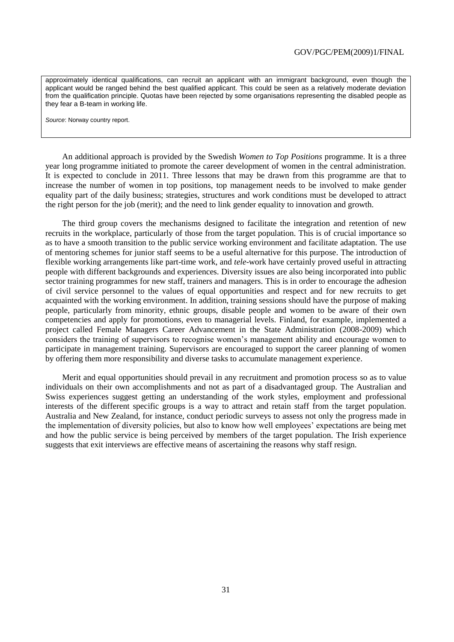approximately identical qualifications, can recruit an applicant with an immigrant background, even though the applicant would be ranged behind the best qualified applicant. This could be seen as a relatively moderate deviation from the qualification principle. Quotas have been rejected by some organisations representing the disabled people as they fear a B-team in working life.

*Source*: Norway country report.

An additional approach is provided by the Swedish *Women to Top Positions* programme. It is a three year long programme initiated to promote the career development of women in the central administration. It is expected to conclude in 2011. Three lessons that may be drawn from this programme are that to increase the number of women in top positions, top management needs to be involved to make gender equality part of the daily business; strategies, structures and work conditions must be developed to attract the right person for the job (merit); and the need to link gender equality to innovation and growth.

The third group covers the mechanisms designed to facilitate the integration and retention of new recruits in the workplace, particularly of those from the target population. This is of crucial importance so as to have a smooth transition to the public service working environment and facilitate adaptation. The use of mentoring schemes for junior staff seems to be a useful alternative for this purpose. The introduction of flexible working arrangements like part-time work, and *tele*-work have certainly proved useful in attracting people with different backgrounds and experiences. Diversity issues are also being incorporated into public sector training programmes for new staff, trainers and managers. This is in order to encourage the adhesion of civil service personnel to the values of equal opportunities and respect and for new recruits to get acquainted with the working environment. In addition, training sessions should have the purpose of making people, particularly from minority, ethnic groups, disable people and women to be aware of their own competencies and apply for promotions, even to managerial levels. Finland, for example, implemented a project called Female Managers Career Advancement in the State Administration (2008-2009) which considers the training of supervisors to recognise women"s management ability and encourage women to participate in management training. Supervisors are encouraged to support the career planning of women by offering them more responsibility and diverse tasks to accumulate management experience.

Merit and equal opportunities should prevail in any recruitment and promotion process so as to value individuals on their own accomplishments and not as part of a disadvantaged group. The Australian and Swiss experiences suggest getting an understanding of the work styles, employment and professional interests of the different specific groups is a way to attract and retain staff from the target population. Australia and New Zealand, for instance, conduct periodic surveys to assess not only the progress made in the implementation of diversity policies, but also to know how well employees" expectations are being met and how the public service is being perceived by members of the target population. The Irish experience suggests that exit interviews are effective means of ascertaining the reasons why staff resign.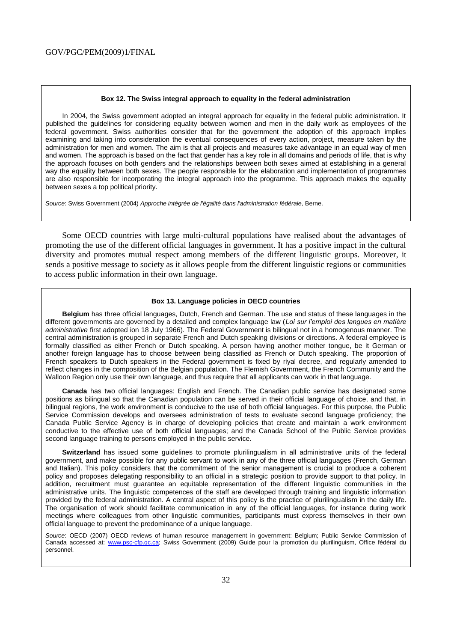#### **Box 12. The Swiss integral approach to equality in the federal administration**

In 2004, the Swiss government adopted an integral approach for equality in the federal public administration. It published the guidelines for considering equality between women and men in the daily work as employees of the federal government. Swiss authorities consider that for the government the adoption of this approach implies examining and taking into consideration the eventual consequences of every action, project, measure taken by the administration for men and women. The aim is that all projects and measures take advantage in an equal way of men and women. The approach is based on the fact that gender has a key role in all domains and periods of life, that is why the approach focuses on both genders and the relationships between both sexes aimed at establishing in a general way the equality between both sexes. The people responsible for the elaboration and implementation of programmes are also responsible for incorporating the integral approach into the programme. This approach makes the equality between sexes a top political priority.

*Source*: Swiss Government (2004) *Approche intégrée de l'égalité dans l'administration fédérale*, Berne.

Some OECD countries with large multi-cultural populations have realised about the advantages of promoting the use of the different official languages in government. It has a positive impact in the cultural diversity and promotes mutual respect among members of the different linguistic groups. Moreover, it sends a positive message to society as it allows people from the different linguistic regions or communities to access public information in their own language.

#### **Box 13. Language policies in OECD countries**

**Belgium** has three official languages, Dutch, French and German. The use and status of these languages in the different governments are governed by a detailed and complex language law (*Loi sur l'emploi des langues en matière administrative* first adopted ion 18 July 1966). The Federal Government is bilingual not in a homogenous manner. The central administration is grouped in separate French and Dutch speaking divisions or directions. A federal employee is formally classified as either French or Dutch speaking. A person having another mother tongue, be it German or another foreign language has to choose between being classified as French or Dutch speaking. The proportion of French speakers to Dutch speakers in the Federal government is fixed by riyal decree, and regularly amended to reflect changes in the composition of the Belgian population. The Flemish Government, the French Community and the Walloon Region only use their own language, and thus require that all applicants can work in that language.

**Canada** has two official languages: English and French. The Canadian public service has designated some positions as bilingual so that the Canadian population can be served in their official language of choice, and that, in bilingual regions, the work environment is conducive to the use of both official languages. For this purpose, the Public Service Commission develops and oversees administration of tests to evaluate second language proficiency; the Canada Public Service Agency is in charge of developing policies that create and maintain a work environment conductive to the effective use of both official languages; and the Canada School of the Public Service provides second language training to persons employed in the public service.

**Switzerland** has issued some guidelines to promote plurilingualism in all administrative units of the federal government, and make possible for any public servant to work in any of the three official languages (French, German and Italian). This policy considers that the commitment of the senior management is crucial to produce a coherent policy and proposes delegating responsibility to an official in a strategic position to provide support to that policy. In addition, recruitment must guarantee an equitable representation of the different linguistic communities in the administrative units. The linguistic competences of the staff are developed through training and linguistic information provided by the federal administration. A central aspect of this policy is the practice of plurilingualism in the daily life. The organisation of work should facilitate communication in any of the official languages, for instance during work meetings where colleagues from other linguistic communities, participants must express themselves in their own official language to prevent the predominance of a unique language.

*Source*: OECD (2007) OECD reviews of human resource management in government: Belgium; Public Service Commission of Canada accessed at: [www.psc-cfp.gc.ca;](http://www.psc-cfp.gc.ca/) Swiss Government (2009) Guide pour la promotion du plurilinguism, Office fédéral du personnel.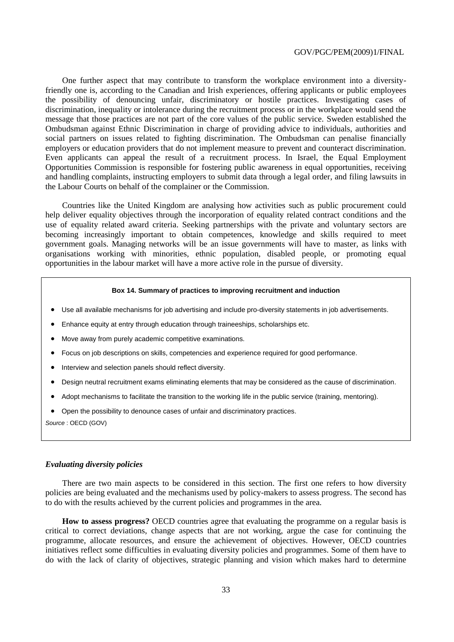One further aspect that may contribute to transform the workplace environment into a diversityfriendly one is, according to the Canadian and Irish experiences, offering applicants or public employees the possibility of denouncing unfair, discriminatory or hostile practices. Investigating cases of discrimination, inequality or intolerance during the recruitment process or in the workplace would send the message that those practices are not part of the core values of the public service. Sweden established the Ombudsman against Ethnic Discrimination in charge of providing advice to individuals, authorities and social partners on issues related to fighting discrimination. The Ombudsman can penalise financially employers or education providers that do not implement measure to prevent and counteract discrimination. Even applicants can appeal the result of a recruitment process. In Israel, the Equal Employment Opportunities Commission is responsible for fostering public awareness in equal opportunities, receiving and handling complaints, instructing employers to submit data through a legal order, and filing lawsuits in the Labour Courts on behalf of the complainer or the Commission.

Countries like the United Kingdom are analysing how activities such as public procurement could help deliver equality objectives through the incorporation of equality related contract conditions and the use of equality related award criteria. Seeking partnerships with the private and voluntary sectors are becoming increasingly important to obtain competences, knowledge and skills required to meet government goals. Managing networks will be an issue governments will have to master, as links with organisations working with minorities, ethnic population, disabled people, or promoting equal opportunities in the labour market will have a more active role in the pursue of diversity.

#### **Box 14. Summary of practices to improving recruitment and induction**

- Use all available mechanisms for job advertising and include pro-diversity statements in job advertisements.
- Enhance equity at entry through education through traineeships, scholarships etc.
- Move away from purely academic competitive examinations.
- Focus on job descriptions on skills, competencies and experience required for good performance.
- Interview and selection panels should reflect diversity.
- Design neutral recruitment exams eliminating elements that may be considered as the cause of discrimination.
- Adopt mechanisms to facilitate the transition to the working life in the public service (training, mentoring).
- Open the possibility to denounce cases of unfair and discriminatory practices.

*Source* : OECD (GOV)

#### *Evaluating diversity policies*

There are two main aspects to be considered in this section. The first one refers to how diversity policies are being evaluated and the mechanisms used by policy-makers to assess progress. The second has to do with the results achieved by the current policies and programmes in the area.

**How to assess progress?** OECD countries agree that evaluating the programme on a regular basis is critical to correct deviations, change aspects that are not working, argue the case for continuing the programme, allocate resources, and ensure the achievement of objectives. However, OECD countries initiatives reflect some difficulties in evaluating diversity policies and programmes. Some of them have to do with the lack of clarity of objectives, strategic planning and vision which makes hard to determine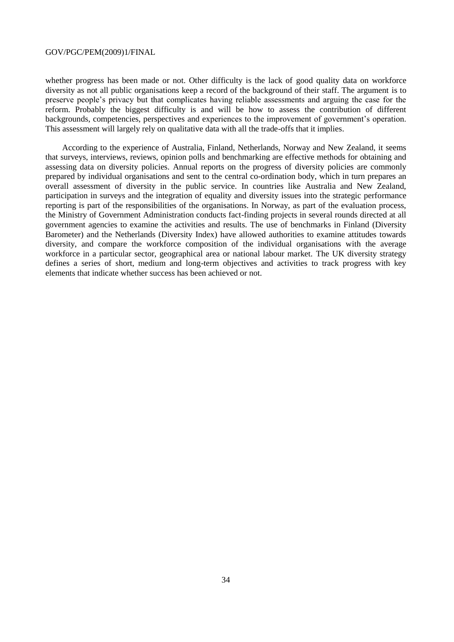whether progress has been made or not. Other difficulty is the lack of good quality data on workforce diversity as not all public organisations keep a record of the background of their staff. The argument is to preserve people"s privacy but that complicates having reliable assessments and arguing the case for the reform. Probably the biggest difficulty is and will be how to assess the contribution of different backgrounds, competencies, perspectives and experiences to the improvement of government's operation. This assessment will largely rely on qualitative data with all the trade-offs that it implies.

According to the experience of Australia, Finland, Netherlands, Norway and New Zealand, it seems that surveys, interviews, reviews, opinion polls and benchmarking are effective methods for obtaining and assessing data on diversity policies. Annual reports on the progress of diversity policies are commonly prepared by individual organisations and sent to the central co-ordination body, which in turn prepares an overall assessment of diversity in the public service. In countries like Australia and New Zealand, participation in surveys and the integration of equality and diversity issues into the strategic performance reporting is part of the responsibilities of the organisations. In Norway, as part of the evaluation process, the Ministry of Government Administration conducts fact-finding projects in several rounds directed at all government agencies to examine the activities and results. The use of benchmarks in Finland (Diversity Barometer) and the Netherlands (Diversity Index) have allowed authorities to examine attitudes towards diversity, and compare the workforce composition of the individual organisations with the average workforce in a particular sector, geographical area or national labour market. The UK diversity strategy defines a series of short, medium and long-term objectives and activities to track progress with key elements that indicate whether success has been achieved or not.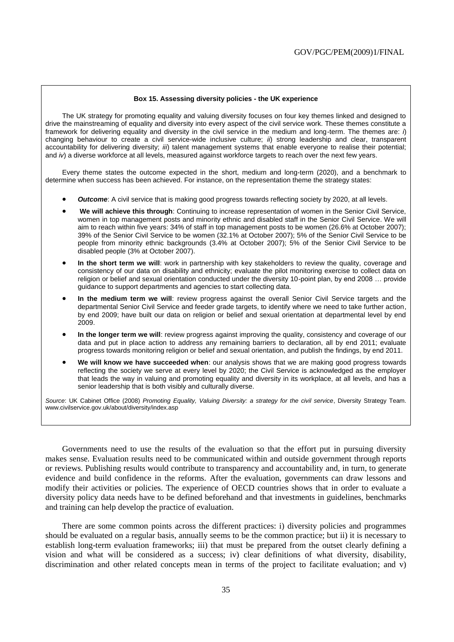#### **Box 15. Assessing diversity policies - the UK experience**

The UK strategy for promoting equality and valuing diversity focuses on four key themes linked and designed to drive the mainstreaming of equality and diversity into every aspect of the civil service work. These themes constitute a framework for delivering equality and diversity in the civil service in the medium and long-term. The themes are: *i*) changing behaviour to create a civil service-wide inclusive culture; *ii*) strong leadership and clear, transparent accountability for delivering diversity; *iii*) talent management systems that enable everyone to realise their potential; and *iv*) a diverse workforce at all levels, measured against workforce targets to reach over the next few years.

Every theme states the outcome expected in the short, medium and long-term (2020), and a benchmark to determine when success has been achieved. For instance, on the representation theme the strategy states:

- *Outcome:* A civil service that is making good progress towards reflecting society by 2020, at all levels.
- **We will achieve this through**: Continuing to increase representation of women in the Senior Civil Service, women in top management posts and minority ethnic and disabled staff in the Senior Civil Service. We will aim to reach within five years: 34% of staff in top management posts to be women (26.6% at October 2007); 39% of the Senior Civil Service to be women (32.1% at October 2007); 5% of the Senior Civil Service to be people from minority ethnic backgrounds (3.4% at October 2007); 5% of the Senior Civil Service to be disabled people (3% at October 2007).
- **In the short term we will**: work in partnership with key stakeholders to review the quality, coverage and consistency of our data on disability and ethnicity; evaluate the pilot monitoring exercise to collect data on religion or belief and sexual orientation conducted under the diversity 10-point plan, by end 2008 … provide guidance to support departments and agencies to start collecting data.
- **In the medium term we will**: review progress against the overall Senior Civil Service targets and the departmental Senior Civil Service and feeder grade targets, to identify where we need to take further action, by end 2009; have built our data on religion or belief and sexual orientation at departmental level by end 2009.
- **In the longer term we will**: review progress against improving the quality, consistency and coverage of our data and put in place action to address any remaining barriers to declaration, all by end 2011; evaluate progress towards monitoring religion or belief and sexual orientation, and publish the findings, by end 2011.
- **We will know we have succeeded when**: our analysis shows that we are making good progress towards reflecting the society we serve at every level by 2020; the Civil Service is acknowledged as the employer that leads the way in valuing and promoting equality and diversity in its workplace, at all levels, and has a senior leadership that is both visibly and culturally diverse.

*Source*: UK Cabinet Office (2008) *Promoting Equality, Valuing Diversity: a strategy for the civil service*, Diversity Strategy Team. www.civilservice.gov.uk/about/diversity/index.asp

Governments need to use the results of the evaluation so that the effort put in pursuing diversity makes sense. Evaluation results need to be communicated within and outside government through reports or reviews. Publishing results would contribute to transparency and accountability and, in turn, to generate evidence and build confidence in the reforms. After the evaluation, governments can draw lessons and modify their activities or policies. The experience of OECD countries shows that in order to evaluate a diversity policy data needs have to be defined beforehand and that investments in guidelines, benchmarks and training can help develop the practice of evaluation.

There are some common points across the different practices: i) diversity policies and programmes should be evaluated on a regular basis, annually seems to be the common practice; but ii) it is necessary to establish long-term evaluation frameworks; iii) that must be prepared from the outset clearly defining a vision and what will be considered as a success; iv) clear definitions of what diversity, disability, discrimination and other related concepts mean in terms of the project to facilitate evaluation; and v)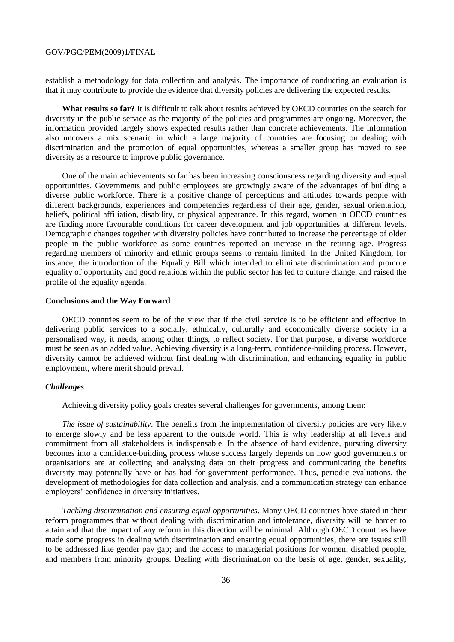establish a methodology for data collection and analysis. The importance of conducting an evaluation is that it may contribute to provide the evidence that diversity policies are delivering the expected results.

**What results so far?** It is difficult to talk about results achieved by OECD countries on the search for diversity in the public service as the majority of the policies and programmes are ongoing. Moreover, the information provided largely shows expected results rather than concrete achievements. The information also uncovers a mix scenario in which a large majority of countries are focusing on dealing with discrimination and the promotion of equal opportunities, whereas a smaller group has moved to see diversity as a resource to improve public governance.

One of the main achievements so far has been increasing consciousness regarding diversity and equal opportunities. Governments and public employees are growingly aware of the advantages of building a diverse public workforce. There is a positive change of perceptions and attitudes towards people with different backgrounds, experiences and competencies regardless of their age, gender, sexual orientation, beliefs, political affiliation, disability, or physical appearance. In this regard, women in OECD countries are finding more favourable conditions for career development and job opportunities at different levels. Demographic changes together with diversity policies have contributed to increase the percentage of older people in the public workforce as some countries reported an increase in the retiring age. Progress regarding members of minority and ethnic groups seems to remain limited. In the United Kingdom, for instance, the introduction of the Equality Bill which intended to eliminate discrimination and promote equality of opportunity and good relations within the public sector has led to culture change, and raised the profile of the equality agenda.

#### **Conclusions and the Way Forward**

OECD countries seem to be of the view that if the civil service is to be efficient and effective in delivering public services to a socially, ethnically, culturally and economically diverse society in a personalised way, it needs, among other things, to reflect society. For that purpose, a diverse workforce must be seen as an added value. Achieving diversity is a long-term, confidence-building process. However, diversity cannot be achieved without first dealing with discrimination, and enhancing equality in public employment, where merit should prevail.

#### *Challenges*

Achieving diversity policy goals creates several challenges for governments, among them:

*The issue of sustainability*. The benefits from the implementation of diversity policies are very likely to emerge slowly and be less apparent to the outside world. This is why leadership at all levels and commitment from all stakeholders is indispensable. In the absence of hard evidence, pursuing diversity becomes into a confidence-building process whose success largely depends on how good governments or organisations are at collecting and analysing data on their progress and communicating the benefits diversity may potentially have or has had for government performance. Thus, periodic evaluations, the development of methodologies for data collection and analysis, and a communication strategy can enhance employers' confidence in diversity initiatives.

*Tackling discrimination and ensuring equal opportunities*. Many OECD countries have stated in their reform programmes that without dealing with discrimination and intolerance, diversity will be harder to attain and that the impact of any reform in this direction will be minimal. Although OECD countries have made some progress in dealing with discrimination and ensuring equal opportunities, there are issues still to be addressed like gender pay gap; and the access to managerial positions for women, disabled people, and members from minority groups. Dealing with discrimination on the basis of age, gender, sexuality,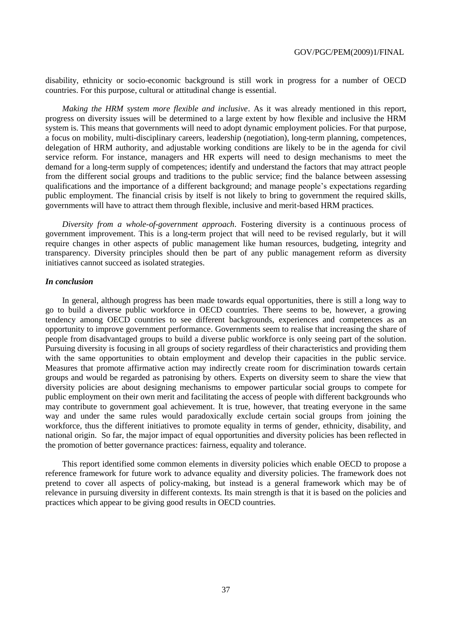disability, ethnicity or socio-economic background is still work in progress for a number of OECD countries. For this purpose, cultural or attitudinal change is essential.

*Making the HRM system more flexible and inclusive*. As it was already mentioned in this report, progress on diversity issues will be determined to a large extent by how flexible and inclusive the HRM system is. This means that governments will need to adopt dynamic employment policies. For that purpose, a focus on mobility, multi-disciplinary careers, leadership (negotiation), long-term planning, competences, delegation of HRM authority, and adjustable working conditions are likely to be in the agenda for civil service reform. For instance, managers and HR experts will need to design mechanisms to meet the demand for a long-term supply of competences; identify and understand the factors that may attract people from the different social groups and traditions to the public service; find the balance between assessing qualifications and the importance of a different background; and manage people"s expectations regarding public employment. The financial crisis by itself is not likely to bring to government the required skills, governments will have to attract them through flexible, inclusive and merit-based HRM practices.

*Diversity from a whole-of-government approach*. Fostering diversity is a continuous process of government improvement. This is a long-term project that will need to be revised regularly, but it will require changes in other aspects of public management like human resources, budgeting, integrity and transparency. Diversity principles should then be part of any public management reform as diversity initiatives cannot succeed as isolated strategies.

#### *In conclusion*

In general, although progress has been made towards equal opportunities, there is still a long way to go to build a diverse public workforce in OECD countries. There seems to be, however, a growing tendency among OECD countries to see different backgrounds, experiences and competences as an opportunity to improve government performance. Governments seem to realise that increasing the share of people from disadvantaged groups to build a diverse public workforce is only seeing part of the solution. Pursuing diversity is focusing in all groups of society regardless of their characteristics and providing them with the same opportunities to obtain employment and develop their capacities in the public service. Measures that promote affirmative action may indirectly create room for discrimination towards certain groups and would be regarded as patronising by others. Experts on diversity seem to share the view that diversity policies are about designing mechanisms to empower particular social groups to compete for public employment on their own merit and facilitating the access of people with different backgrounds who may contribute to government goal achievement. It is true, however, that treating everyone in the same way and under the same rules would paradoxically exclude certain social groups from joining the workforce, thus the different initiatives to promote equality in terms of gender, ethnicity, disability, and national origin. So far, the major impact of equal opportunities and diversity policies has been reflected in the promotion of better governance practices: fairness, equality and tolerance.

This report identified some common elements in diversity policies which enable OECD to propose a reference framework for future work to advance equality and diversity policies. The framework does not pretend to cover all aspects of policy-making, but instead is a general framework which may be of relevance in pursuing diversity in different contexts. Its main strength is that it is based on the policies and practices which appear to be giving good results in OECD countries.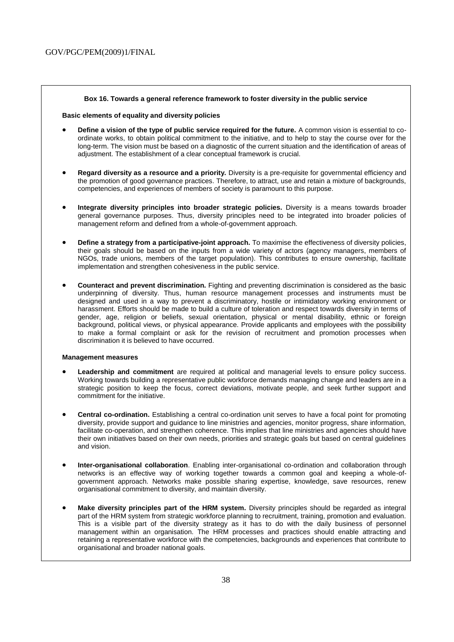#### **Box 16. Towards a general reference framework to foster diversity in the public service**

#### **Basic elements of equality and diversity policies**

- **Define a vision of the type of public service required for the future.** A common vision is essential to coordinate works, to obtain political commitment to the initiative, and to help to stay the course over for the long-term. The vision must be based on a diagnostic of the current situation and the identification of areas of adjustment. The establishment of a clear conceptual framework is crucial.
- **Regard diversity as a resource and a priority.** Diversity is a pre-requisite for governmental efficiency and the promotion of good governance practices. Therefore, to attract, use and retain a mixture of backgrounds, competencies, and experiences of members of society is paramount to this purpose.
- **Integrate diversity principles into broader strategic policies.** Diversity is a means towards broader general governance purposes. Thus, diversity principles need to be integrated into broader policies of management reform and defined from a whole-of-government approach.
- **Define a strategy from a participative-joint approach.** To maximise the effectiveness of diversity policies, their goals should be based on the inputs from a wide variety of actors (agency managers, members of NGOs, trade unions, members of the target population). This contributes to ensure ownership, facilitate implementation and strengthen cohesiveness in the public service.
- **Counteract and prevent discrimination.** Fighting and preventing discrimination is considered as the basic underpinning of diversity. Thus, human resource management processes and instruments must be designed and used in a way to prevent a discriminatory, hostile or intimidatory working environment or harassment. Efforts should be made to build a culture of toleration and respect towards diversity in terms of gender, age, religion or beliefs, sexual orientation, physical or mental disability, ethnic or foreign background, political views, or physical appearance. Provide applicants and employees with the possibility to make a formal complaint or ask for the revision of recruitment and promotion processes when discrimination it is believed to have occurred.

#### **Management measures**

- **Leadership and commitment** are required at political and managerial levels to ensure policy success. Working towards building a representative public workforce demands managing change and leaders are in a strategic position to keep the focus, correct deviations, motivate people, and seek further support and commitment for the initiative.
- **Central co-ordination.** Establishing a central co-ordination unit serves to have a focal point for promoting diversity, provide support and guidance to line ministries and agencies, monitor progress, share information, facilitate co-operation, and strengthen coherence. This implies that line ministries and agencies should have their own initiatives based on their own needs, priorities and strategic goals but based on central guidelines and vision.
- **Inter-organisational collaboration**. Enabling inter-organisational co-ordination and collaboration through networks is an effective way of working together towards a common goal and keeping a whole-ofgovernment approach. Networks make possible sharing expertise, knowledge, save resources, renew organisational commitment to diversity, and maintain diversity.
- **Make diversity principles part of the HRM system.** Diversity principles should be regarded as integral part of the HRM system from strategic workforce planning to recruitment, training, promotion and evaluation. This is a visible part of the diversity strategy as it has to do with the daily business of personnel management within an organisation. The HRM processes and practices should enable attracting and retaining a representative workforce with the competencies, backgrounds and experiences that contribute to organisational and broader national goals.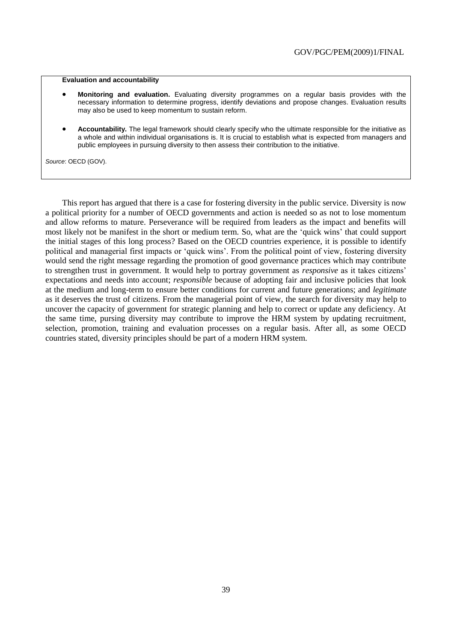#### **Evaluation and accountability**

- **Monitoring and evaluation.** Evaluating diversity programmes on a regular basis provides with the necessary information to determine progress, identify deviations and propose changes. Evaluation results may also be used to keep momentum to sustain reform.
- **Accountability.** The legal framework should clearly specify who the ultimate responsible for the initiative as a whole and within individual organisations is. It is crucial to establish what is expected from managers and public employees in pursuing diversity to then assess their contribution to the initiative.

*Source*: OECD (GOV).

This report has argued that there is a case for fostering diversity in the public service. Diversity is now a political priority for a number of OECD governments and action is needed so as not to lose momentum and allow reforms to mature. Perseverance will be required from leaders as the impact and benefits will most likely not be manifest in the short or medium term. So, what are the "quick wins" that could support the initial stages of this long process? Based on the OECD countries experience, it is possible to identify political and managerial first impacts or "quick wins". From the political point of view, fostering diversity would send the right message regarding the promotion of good governance practices which may contribute to strengthen trust in government. It would help to portray government as *responsive* as it takes citizens" expectations and needs into account; *responsible* because of adopting fair and inclusive policies that look at the medium and long-term to ensure better conditions for current and future generations; and *legitimate* as it deserves the trust of citizens. From the managerial point of view, the search for diversity may help to uncover the capacity of government for strategic planning and help to correct or update any deficiency. At the same time, pursing diversity may contribute to improve the HRM system by updating recruitment, selection, promotion, training and evaluation processes on a regular basis. After all, as some OECD countries stated, diversity principles should be part of a modern HRM system.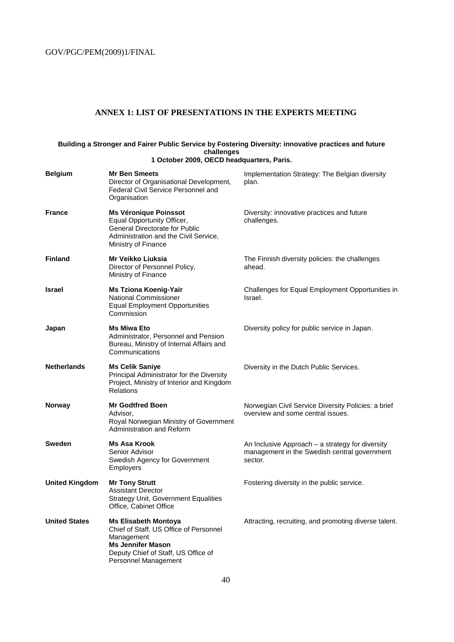### **ANNEX 1: LIST OF PRESENTATIONS IN THE EXPERTS MEETING**

#### **Building a Stronger and Fairer Public Service by Fostering Diversity: innovative practices and future challenges 1 October 2009, OECD headquarters, Paris.**

| <b>Belgium</b>        | <b>Mr Ben Smeets</b><br>Director of Organisational Development,<br>Federal Civil Service Personnel and<br>Organisation                                                         | Implementation Strategy: The Belgian diversity<br>plan.                                                     |
|-----------------------|--------------------------------------------------------------------------------------------------------------------------------------------------------------------------------|-------------------------------------------------------------------------------------------------------------|
| <b>France</b>         | <b>Ms Véronique Poinssot</b><br>Equal Opportunity Officer,<br><b>General Directorate for Public</b><br>Administration and the Civil Service,<br>Ministry of Finance            | Diversity: innovative practices and future<br>challenges.                                                   |
| <b>Finland</b>        | Mr Veikko Liuksia<br>Director of Personnel Policy,<br>Ministry of Finance                                                                                                      | The Finnish diversity policies: the challenges<br>ahead.                                                    |
| Israel                | Ms Tziona Koenig-Yair<br>National Commissioner<br><b>Equal Employment Opportunities</b><br>Commission                                                                          | Challenges for Equal Employment Opportunities in<br>Israel.                                                 |
| Japan                 | <b>Ms Miwa Eto</b><br>Administrator, Personnel and Pension<br>Bureau, Ministry of Internal Affairs and<br>Communications                                                       | Diversity policy for public service in Japan.                                                               |
| <b>Netherlands</b>    | <b>Ms Celik Saniye</b><br>Principal Administrator for the Diversity<br>Project, Ministry of Interior and Kingdom<br><b>Relations</b>                                           | Diversity in the Dutch Public Services.                                                                     |
| Norway                | <b>Mr Godtfred Boen</b><br>Advisor,<br>Royal Norwegian Ministry of Government<br>Administration and Reform                                                                     | Norwegian Civil Service Diversity Policies: a brief<br>overview and some central issues.                    |
| <b>Sweden</b>         | Ms Asa Krook<br>Senior Advisor<br>Swedish Agency for Government<br><b>Employers</b>                                                                                            | An Inclusive Approach – a strategy for diversity<br>management in the Swedish central government<br>sector. |
| <b>United Kingdom</b> | <b>Mr Tony Strutt</b><br><b>Assistant Director</b><br><b>Strategy Unit, Government Equalities</b><br>Office, Cabinet Office                                                    | Fostering diversity in the public service.                                                                  |
| <b>United States</b>  | <b>Ms Elisabeth Montoya</b><br>Chief of Staff, US Office of Personnel<br>Management<br><b>Ms Jennifer Mason</b><br>Deputy Chief of Staff, US Office of<br>Personnel Management | Attracting, recruiting, and promoting diverse talent.                                                       |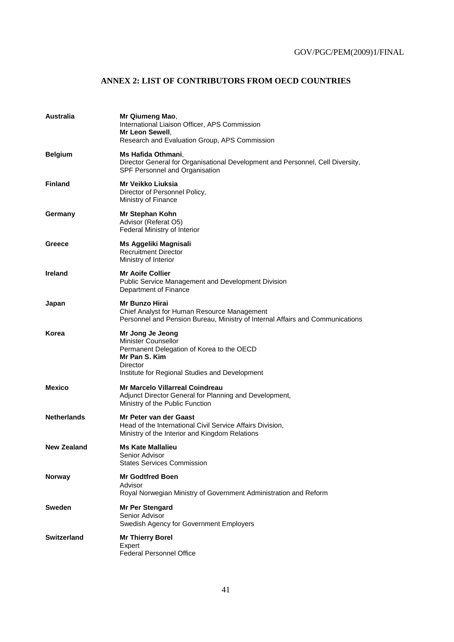### **ANNEX 2: LIST OF CONTRIBUTORS FROM OECD COUNTRIES**

| Australia          | Mr Qiumeng Mao,<br>International Liaison Officer, APS Commission<br>Mr Leon Sewell.<br>Research and Evaluation Group, APS Commission                                |
|--------------------|---------------------------------------------------------------------------------------------------------------------------------------------------------------------|
| <b>Belgium</b>     | Ms Hafida Othmani,<br>Director General for Organisational Development and Personnel, Cell Diversity,<br>SPF Personnel and Organisation                              |
| <b>Finland</b>     | <b>Mr Veikko Liuksia</b><br>Director of Personnel Policy,<br>Ministry of Finance                                                                                    |
| Germany            | Mr Stephan Kohn<br>Advisor (Referat O5)<br>Federal Ministry of Interior                                                                                             |
| Greece             | Ms Aggeliki Magnisali<br><b>Recruitment Director</b><br>Ministry of Interior                                                                                        |
| <b>Ireland</b>     | <b>Mr Aoife Collier</b><br>Public Service Management and Development Division<br>Department of Finance                                                              |
| Japan              | <b>Mr Bunzo Hirai</b><br>Chief Analyst for Human Resource Management<br>Personnel and Pension Bureau, Ministry of Internal Affairs and Communications               |
| Korea              | Mr Jong Je Jeong<br>Minister Counsellor<br>Permanent Delegation of Korea to the OECD<br>Mr Pan S. Kim<br>Director<br>Institute for Regional Studies and Development |
| <b>Mexico</b>      | <b>Mr Marcelo Villarreal Coindreau</b><br>Adjunct Director General for Planning and Development,<br>Ministry of the Public Function                                 |
| <b>Netherlands</b> | Mr Peter van der Gaast<br>Head of the International Civil Service Affairs Division,<br>Ministry of the Interior and Kingdom Relations                               |
| <b>New Zealand</b> | Ms Kate Mallalieu<br>Senior Advisor<br><b>States Services Commission</b>                                                                                            |
| Norway             | <b>Mr Godtfred Boen</b><br>Advisor<br>Royal Norwegian Ministry of Government Administration and Reform                                                              |
| <b>Sweden</b>      | <b>Mr Per Stengard</b><br>Senior Advisor<br>Swedish Agency for Government Employers                                                                                 |
| <b>Switzerland</b> | <b>Mr Thierry Borel</b><br>Expert<br><b>Federal Personnel Office</b>                                                                                                |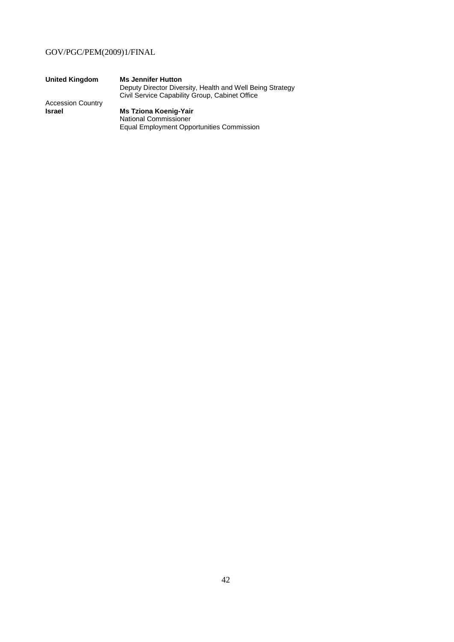| <b>United Kingdom</b>    | <b>Ms Jennifer Hutton</b>                                 |
|--------------------------|-----------------------------------------------------------|
|                          | Deputy Director Diversity, Health and Well Being Strategy |
|                          | Civil Service Capability Group, Cabinet Office            |
| <b>Accession Country</b> |                                                           |
| <b>Israel</b>            | <b>Ms Tziona Koenig-Yair</b>                              |
|                          | <b>National Commissioner</b>                              |

Equal Employment Opportunities Commission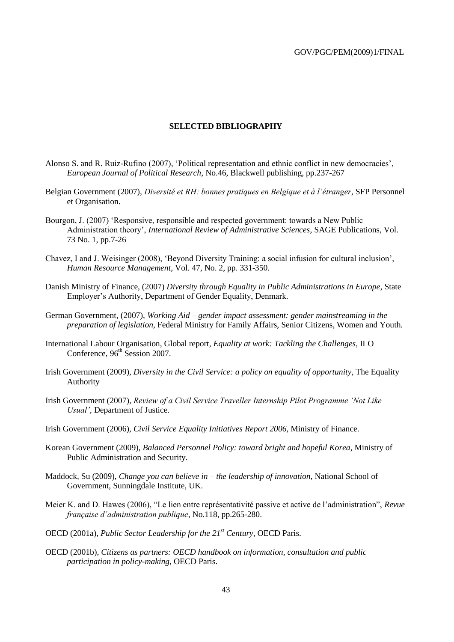#### **SELECTED BIBLIOGRAPHY**

- Alonso S. and R. Ruiz-Rufino (2007), "Political representation and ethnic conflict in new democracies", *European Journal of Political Research*, No.46, Blackwell publishing, pp.237-267
- Belgian Government (2007), *Diversité et RH: bonnes pratiques en Belgique et à l'étranger*, SFP Personnel et Organisation.
- Bourgon, J. (2007) "Responsive, responsible and respected government: towards a New Public Administration theory", *International Review of Administrative Sciences*, SAGE Publications, Vol. 73 No. 1, pp.7-26
- Chavez, I and J. Weisinger (2008), "Beyond Diversity Training: a social infusion for cultural inclusion", *Human Resource Management,* Vol. 47, No. 2, pp. 331-350.
- Danish Ministry of Finance, (2007) *Diversity through Equality in Public Administrations in Europe*, State Employer"s Authority, Department of Gender Equality, Denmark.
- German Government, (2007), *Working Aid – gender impact assessment: gender mainstreaming in the preparation of legislation*, Federal Ministry for Family Affairs, Senior Citizens, Women and Youth.
- International Labour Organisation, Global report, *Equality at work: Tackling the Challenges,* ILO Conference,  $96<sup>th</sup>$  Session 2007.
- Irish Government (2009), *Diversity in the Civil Service: a policy on equality of opportunity,* The Equality Authority
- Irish Government (2007), *Review of a Civil Service Traveller Internship Pilot Programme 'Not Like Usual'*, Department of Justice.
- Irish Government (2006), *Civil Service Equality Initiatives Report 2006*, Ministry of Finance.
- Korean Government (2009), *Balanced Personnel Policy: toward bright and hopeful Korea*, Ministry of Public Administration and Security.
- Maddock, Su (2009), *Change you can believe in – the leadership of innovation*, National School of Government, Sunningdale Institute, UK.
- Meier K. and D. Hawes (2006), "Le lien entre représentativité passive et active de l"administration", *Revue française d'administration publique*, No.118, pp.265-280.
- OECD (2001a), *Public Sector Leadership for the 21st Century*, OECD Paris.
- OECD (2001b), *Citizens as partners: OECD handbook on information, consultation and public participation in policy-making*, OECD Paris.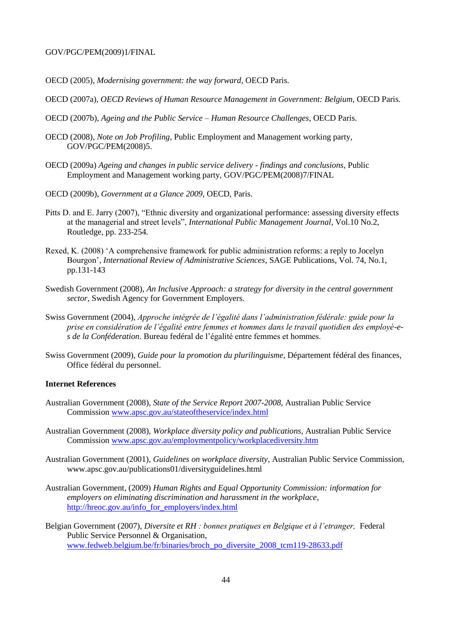- OECD (2005), *Modernising government: the way forward*, OECD Paris.
- OECD (2007a), *OECD Reviews of Human Resource Management in Government: Belgium*, OECD Paris.
- OECD (2007b), *Ageing and the Public Service – Human Resource Challenges*, OECD Paris.
- OECD (2008), *Note on Job Profiling*, Public Employment and Management working party, GOV/PGC/PEM(2008)5.
- OECD (2009a) *Ageing and changes in public service delivery - findings and conclusions*, Public Employment and Management working party, GOV/PGC/PEM(2008)7/FINAL
- OECD (2009b), *Government at a Glance 2009*, OECD, Paris.
- Pitts D. and E. Jarry (2007), "Ethnic diversity and organizational performance: assessing diversity effects at the managerial and street levels", *International Public Management Journal*, Vol.10 No.2, Routledge, pp. 233-254.
- Rexed, K. (2008) "A comprehensive framework for public administration reforms: a reply to Jocelyn Bourgon", *International Review of Administrative Sciences*, SAGE Publications, Vol. 74, No.1, pp.131-143
- Swedish Government (2008), *An Inclusive Approach: a strategy for diversity in the central government sector*, Swedish Agency for Government Employers.
- Swiss Government (2004), *Approche intégrée de l'égalité dans l'administration fédérale: guide pour la prise en considération de l'égalité entre femmes et hommes dans le travail quotidien des employé-es de la Conféderation*. Bureau fedéral de l"égalité entre femmes et hommes.
- Swiss Government (2009), *Guide pour la promotion du plurilinguisme*, Département fédéral des finances, Office fédéral du personnel.

#### **Internet References**

- Australian Government (2008), *State of the Service Report 2007-2008*, Australian Public Service Commission www.apsc.gov.au/stateoftheservice/index.html
- Australian Government (2008), *Workplace diversity policy and publications*, Australian Public Service Commission [www.apsc.gov.au/employmentpolicy/workplacediversity.htm](http://www.apsc.gov.au/employmentpolicy/workplacediversity.htm)
- Australian Government (2001), *Guidelines on workplace diversity*, Australian Public Service Commission, www.apsc.gov.au/publications01/diversityguidelines.html
- Australian Government, (2009) *Human Rights and Equal Opportunity Commission: information for employers on eliminating discrimination and harassment in the workplace*, [http://hreoc.gov.au/info\\_for\\_employers/index.html](http://hreoc.gov.au/info_for_employers/index.html)
- Belgian Government (2007), *Diversite et RH : bonnes pratiques en Belgique et à l'etranger,* Federal Public Service Personnel & Organisation, [www.fedweb.belgium.be/fr/binaries/broch\\_po\\_diversite\\_2008\\_tcm119-28633.pdf](http://www.fedweb.belgium.be/fr/binaries/broch_po_diversite_2008_tcm119-28633.pdf)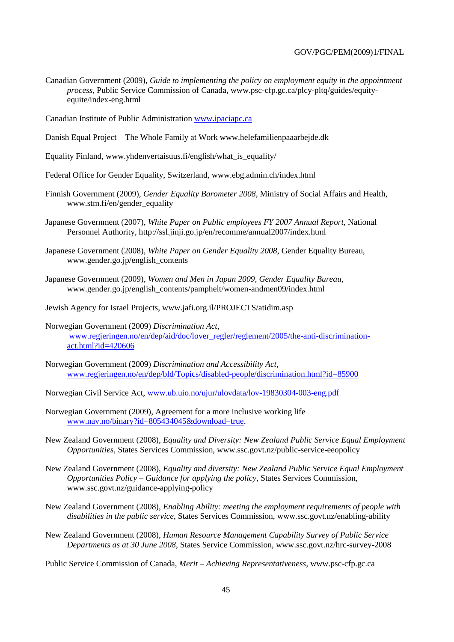- Canadian Government (2009), *Guide to implementing the policy on employment equity in the appointment process*, Public Service Commission of Canada, www.psc-cfp.gc.ca/plcy-pltq/guides/equityequite/index-eng.html
- Canadian Institute of Public Administration www.ipaciapc.ca
- Danish Equal Project The Whole Family at Work www.helefamilienpaaarbejde.dk
- Equality Finland, www.yhdenvertaisuus.fi/english/what\_is\_equality/
- Federal Office for Gender Equality, Switzerland, www.ebg.admin.ch/index.html
- Finnish Government (2009), *Gender Equality Barometer 2008*, Ministry of Social Affairs and Health, www.stm.fi/en/gender\_equality
- Japanese Government (2007), *White Paper on Public employees FY 2007 Annual Report*, National Personnel Authority, http://ssl.jinji.go.jp/en/recomme/annual2007/index.html
- Japanese Government (2008), *White Paper on Gender Equality 2008*, Gender Equality Bureau, www.gender.go.jp/english\_contents
- Japanese Government (2009), *Women and Men in Japan 2009, Gender Equality Bureau,* www.gender.go.jp/english\_contents/pamphelt/women-andmen09/index.html
- Jewish Agency for Israel Projects, www.jafi.org.il/PROJECTS/atidim.asp
- Norwegian Government (2009) *Discrimination Act*, [www.regjeringen.no/en/dep/aid/doc/lover\\_regler/reglement/2005/the-anti-discrimination](http://www.regjeringen.no/en/dep/aid/doc/lover_regler/reglement/2005/the-anti-discrimination-act.html?id=420606)[act.html?id=420606](http://www.regjeringen.no/en/dep/aid/doc/lover_regler/reglement/2005/the-anti-discrimination-act.html?id=420606)
- Norwegian Government (2009) *Discrimination and Accessibility Act,* [www.regjeringen.no/en/dep/bld/Topics/disabled-people/discrimination.html?id=85900](http://www.regjeringen.no/en/dep/bld/Topics/disabled-people/discrimination.html?id=85900)
- Norwegian Civil Service Act, [www.ub.uio.no/ujur/ulovdata/lov-19830304-003-eng.pdf](http://www.ub.uio.no/ujur/ulovdata/lov-19830304-003-eng.pdf)
- Norwegian Government (2009), Agreement for a more inclusive working life [www.nav.no/binary?id=805434045&download=true.](http://www.nav.no/binary?id=805434045&download=true)
- New Zealand Government (2008), *Equality and Diversity: New Zealand Public Service Equal Employment Opportunities*, States Services Commission, www.ssc.govt.nz/public-service-eeopolicy
- New Zealand Government (2008), *Equality and diversity: New Zealand Public Service Equal Employment Opportunities Policy – Guidance for applying the policy*, States Services Commission, www.ssc.govt.nz/guidance-applying-policy
- New Zealand Government (2008), *Enabling Ability: meeting the employment requirements of people with disabilities in the public service*, States Services Commission, www.ssc.govt.nz/enabling-ability
- New Zealand Government (2008), *Human Resource Management Capability Survey of Public Service Departments as at 30 June 2008*, States Service Commission, www.ssc.govt.nz/hrc-survey-2008

Public Service Commission of Canada, *Merit – Achieving Representativeness,* www.psc-cfp.gc.ca